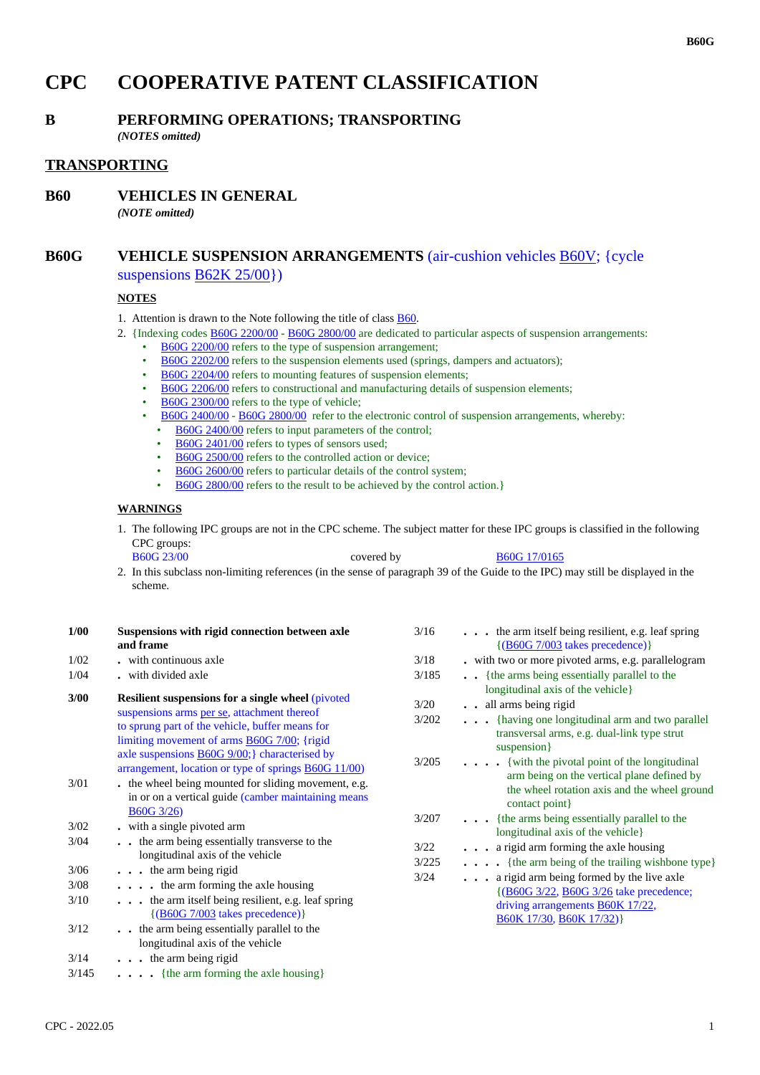# **CPC COOPERATIVE PATENT CLASSIFICATION**

## **B PERFORMING OPERATIONS; TRANSPORTING**

*(NOTES omitted)*

## **TRANSPORTING**

**B60 VEHICLES IN GENERAL**

*(NOTE omitted)*

## **B60G VEHICLE SUSPENSION ARRANGEMENTS** (air-cushion vehicles B60V; {cycle suspensions B62K 25/00})

#### **NOTES**

- 1. Attention is drawn to the Note following the title of class B60.
- 2. {Indexing codes B60G 2200/00 B60G 2800/00 are dedicated to particular aspects of suspension arrangements:
	- B60G 2200/00 refers to the type of suspension arrangement;
	- B60G 2202/00 refers to the suspension elements used (springs, dampers and actuators);
	- B60G 2204/00 refers to mounting features of suspension elements;
	- B60G 2206/00 refers to constructional and manufacturing details of suspension elements;
	- B60G 2300/00 refers to the type of vehicle;
	- B60G 2400/00 B60G 2800/00 refer to the electronic control of suspension arrangements, whereby:
		- B60G 2400/00 refers to input parameters of the control;
		- B60G 2401/00 refers to types of sensors used;
		- B60G 2500/00 refers to the controlled action or device;
		- B60G 2600/00 refers to particular details of the control system;
		- B60G 2800/00 refers to the result to be achieved by the control action.}

#### **WARNINGS**

1. The following IPC groups are not in the CPC scheme. The subject matter for these IPC groups is classified in the following CPC groups:

B60G 23/00 covered by B60G 17/0165

2. In this subclass non-limiting references (in the sense of paragraph 39 of the Guide to the IPC) may still be displayed in the scheme.

| Suspensions with rigid connection between axle<br>and frame                                                                                                 | 3/16                                                      | $\ddot{\phantom{0}}$   |
|-------------------------------------------------------------------------------------------------------------------------------------------------------------|-----------------------------------------------------------|------------------------|
| . with continuous axle                                                                                                                                      | 3/18                                                      | . wit                  |
| . with divided axle                                                                                                                                         | 3/185                                                     | . {                    |
| <b>Resilient suspensions for a single wheel (pivoted)</b><br>suspensions arms per se, attachment thereof<br>to sprung part of the vehicle, buffer means for | 3/20<br>3/202                                             | k<br>$\bullet$ a       |
| axle suspensions <b>B60G</b> 9/00;} characterised by<br>arrangement, location or type of springs <b>B60G</b> 11/00)                                         | 3/205                                                     |                        |
| . the wheel being mounted for sliding movement, e.g.<br>in or on a vertical guide (camber maintaining means                                                 |                                                           |                        |
| with a single pivoted arm.                                                                                                                                  |                                                           |                        |
| the arm being essentially transverse to the<br>longitudinal axis of the vehicle                                                                             | 3/22                                                      |                        |
| $\cdots$ the arm being rigid                                                                                                                                |                                                           | .                      |
| $\cdots$ , the arm forming the axle housing                                                                                                                 |                                                           | $\ddot{\phantom{a}}$   |
| the arm itself being resilient, e.g. leaf spring<br>$\{(B60G\ 7/003 \}$ takes precedence)}                                                                  |                                                           |                        |
| the arm being essentially parallel to the<br>longitudinal axis of the vehicle                                                                               |                                                           |                        |
| $\cdots$ the arm being rigid                                                                                                                                |                                                           |                        |
| $\ldots$ {the arm forming the axle housing}                                                                                                                 |                                                           |                        |
|                                                                                                                                                             | limiting movement of arms B60G 7/00; {rigid<br>B60G 3/26) | 3/207<br>3/225<br>3/24 |

| 3/16  | . the arm itself being resilient, e.g. leaf spring<br>$\{(B60G\ 7/003 \ntakes precedence)\}$                                                                        |
|-------|---------------------------------------------------------------------------------------------------------------------------------------------------------------------|
| 3/18  | . with two or more pivoted arms, e.g. parallelogram                                                                                                                 |
| 3/185 | {the arms being essentially parallel to the<br>longitudinal axis of the vehicle                                                                                     |
| 3/20  | . . all arms being rigid                                                                                                                                            |
| 3/202 | {having one longitudinal arm and two parallel<br>transversal arms, e.g. dual-link type strut<br>suspension }                                                        |
| 3/205 | $\cdots$ {with the pivotal point of the longitudinal<br>arm being on the vertical plane defined by<br>the wheel rotation axis and the wheel ground<br>contact point |
| 3/207 | {the arms being essentially parallel to the<br>longitudinal axis of the vehicle                                                                                     |
| 3/22  | $\cdots$ a rigid arm forming the axle housing                                                                                                                       |
| 3/225 | . {the arm being of the trailing wishbone type}                                                                                                                     |
| 3/24  | a rigid arm being formed by the live axle<br>.<br>{(B60G 3/22, B60G 3/26 take precedence;<br>driving arrangements <b>B60K 17/22</b> ,<br>B60K 17/30, B60K 17/32)}   |
|       |                                                                                                                                                                     |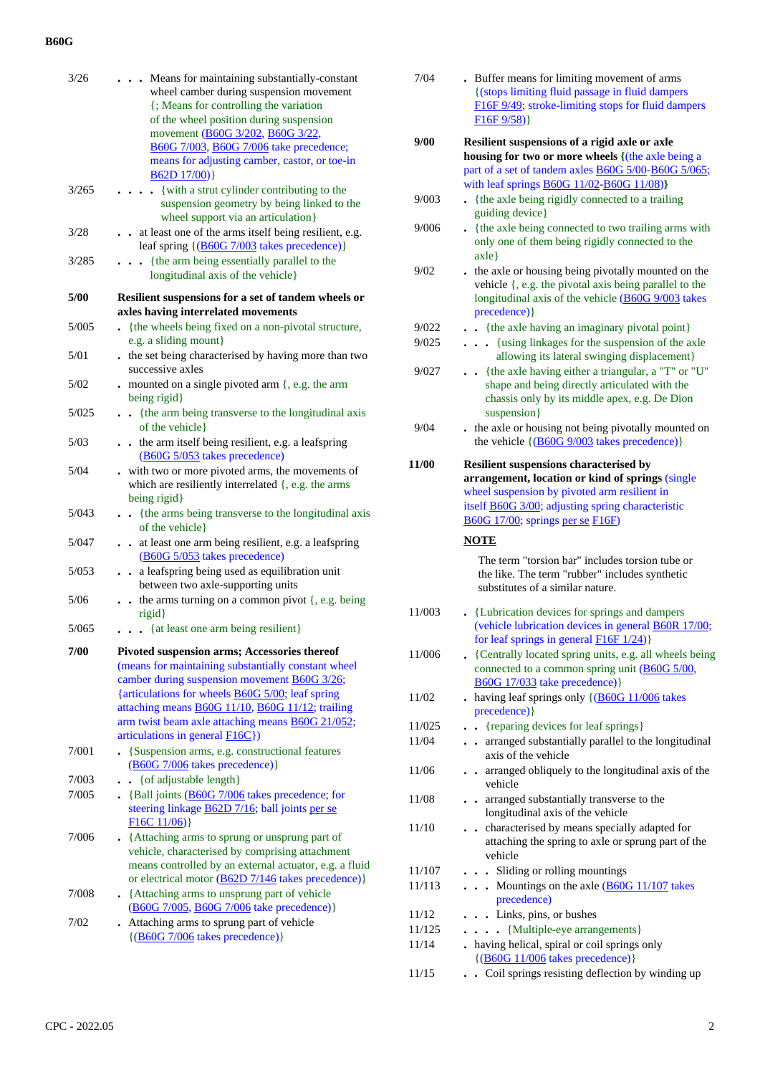| 3/26  | • Means for maintaining substantially-constant                                                              |
|-------|-------------------------------------------------------------------------------------------------------------|
|       | wheel camber during suspension movement                                                                     |
|       | {; Means for controlling the variation                                                                      |
|       | of the wheel position during suspension                                                                     |
|       | movement (B60G 3/202, B60G 3/22,                                                                            |
|       | B60G 7/003, B60G 7/006 take precedence;<br>means for adjusting camber, castor, or toe-in                    |
|       | B62D 17/00)                                                                                                 |
| 3/265 | {with a strut cylinder contributing to the<br>$\ddot{\phantom{a}}$                                          |
|       | suspension geometry by being linked to the                                                                  |
|       | wheel support via an articulation}                                                                          |
| 3/28  | at least one of the arms itself being resilient, e.g.<br>leaf spring {(B60G 7/003 takes precedence)}        |
| 3/285 | {the arm being essentially parallel to the<br>longitudinal axis of the vehicle}                             |
| 5/00  |                                                                                                             |
|       | Resilient suspensions for a set of tandem wheels or<br>axles having interrelated movements                  |
| 5/005 | {the wheels being fixed on a non-pivotal structure,                                                         |
|       | e.g. a sliding mount}                                                                                       |
| 5/01  | . the set being characterised by having more than two                                                       |
|       | successive axles                                                                                            |
| 5/02  | - mounted on a single pivoted arm $\{$ , e.g. the arm                                                       |
|       | being rigid}                                                                                                |
| 5/025 | {the arm being transverse to the longitudinal axis                                                          |
|       | of the vehicle }                                                                                            |
| 5/03  | . . the arm itself being resilient, e.g. a leafspring                                                       |
|       | (B60G 5/053 takes precedence)                                                                               |
| 5/04  | . with two or more pivoted arms, the movements of<br>which are resiliently interrelated $\{, e.g.$ the arms |
|       | being rigid}                                                                                                |
| 5/043 | {the arms being transverse to the longitudinal axis                                                         |
|       | of the vehicle}                                                                                             |
| 5/047 | . . at least one arm being resilient, e.g. a leafspring                                                     |
|       | (B60G 5/053 takes precedence)                                                                               |
| 5/053 | a leafspring being used as equilibration unit<br>$\ddot{\phantom{0}}$                                       |
|       | between two axle-supporting units                                                                           |
| 5/06  | . . the arms turning on a common pivot {, e.g. being<br>rigid}                                              |
| 5/065 | {at least one arm being resilient}                                                                          |
| 7/00  | Pivoted suspension arms; Accessories thereof                                                                |
|       | (means for maintaining substantially constant wheel                                                         |
|       | camber during suspension movement <b>B60G</b> 3/26;                                                         |
|       | {articulations for wheels <b>B60G 5/00</b> ; leaf spring                                                    |
|       | attaching means <b>B60G</b> 11/10, <b>B60G</b> 11/12; trailing                                              |
|       | arm twist beam axle attaching means <b>B60G 21/052</b> ;                                                    |
|       | articulations in general F16C})                                                                             |
| 7/001 | • {Suspension arms, e.g. constructional features<br>(B60G 7/006 takes precedence) }                         |
| 7/003 | {of adjustable length}<br>$\ddotsc$                                                                         |
| 7/005 | . {Ball joints $(B60G 7/006)$ takes precedence; for                                                         |
|       | steering linkage <b>B62D</b> 7/16; ball joints per se                                                       |
|       | F16C11/06)                                                                                                  |
| 7/006 | • {Attaching arms to sprung or unsprung part of                                                             |
|       | vehicle, characterised by comprising attachment                                                             |
|       | means controlled by an external actuator, e.g. a fluid                                                      |
|       | or electrical motor (B62D 7/146 takes precedence)}                                                          |
| 7/008 | • {Attaching arms to unsprung part of vehicle                                                               |
|       | (B60G 7/005, B60G 7/006 take precedence)}                                                                   |
| 7/02  | . Attaching arms to sprung part of vehicle<br>$\{(B60G\ 7/006 \$ takes precedence) }                        |
|       |                                                                                                             |
|       |                                                                                                             |

| 7/04  | . Buffer means for limiting movement of arms<br>{(stops limiting fluid passage in fluid dampers<br>F16F 9/49; stroke-limiting stops for fluid dampers<br>F16F9/58) |
|-------|--------------------------------------------------------------------------------------------------------------------------------------------------------------------|
| 9/00  | Resilient suspensions of a rigid axle or axle<br>housing for two or more wheels {(the axle being a<br>part of a set of tandem axles B60G 5/00-B60G 5/065;          |
| 9/003 | with leaf springs $B60G$ 11/02-B60G 11/08)}<br>. {the axle being rigidly connected to a trailing<br>guiding device                                                 |

- 9/006 **.** {the axle being connected to two trailing arms with only one of them being rigidly connected to the axle}
- 9/02 **.** the axle or housing being pivotally mounted on the vehicle {, e.g. the pivotal axis being parallel to the longitudinal axis of the vehicle (B60G 9/003 takes precedence)}
- 9/022 **. .** {the axle having an imaginary pivotal point}
- 9/025 **. . .** {using linkages for the suspension of the axle allowing its lateral swinging displacement}
- 9/027 **. .** {the axle having either a triangular, a "T" or "U" shape and being directly articulated with the chassis only by its middle apex, e.g. De Dion suspension}
- 9/04 **.** the axle or housing not being pivotally mounted on the vehicle  $\{(\text{B}60G\,9/003 \text{ takes precedence})\}$
- **11/00 Resilient suspensions characterised by arrangement, location or kind of springs** (single wheel suspension by pivoted arm resilient in itself B60G 3/00; adjusting spring characteristic B60G 17/00; springs per se F16F)

#### **NOTE**

The term "torsion bar" includes torsion tube or the like. The term "rubber" includes synthetic substitutes of a similar nature.

- 11/003 **.** {Lubrication devices for springs and dampers (vehicle lubrication devices in general B60R 17/00; for leaf springs in general F16F 1/24)} 11/006 **.** {Centrally located spring units, e.g. all wheels being connected to a common spring unit (B60G 5/00, B60G 17/033 take precedence)} 11/02 **.** having leaf springs only {(B60G 11/006 takes
- precedence)} 11/025 **. .** {reparing devices for leaf springs}
- 11/04 **. .** arranged substantially parallel to the longitudinal axis of the vehicle
- 11/06 **. .** arranged obliquely to the longitudinal axis of the vehicle
- 11/08 **. .** arranged substantially transverse to the longitudinal axis of the vehicle 11/10 **. .** characterised by means specially adapted for attaching the spring to axle or sprung part of the vehicle 11/107 **. . .** Sliding or rolling mountings 11/113 **. . .** Mountings on the axle (B60G 11/107 takes precedence) 11/12 **. . .** Links, pins, or bushes
- 11/125 **. . . .** {Multiple-eye arrangements} 11/14 **.** having helical, spiral or coil springs only {(B60G 11/006 takes precedence)} 11/15 **. .** Coil springs resisting deflection by winding up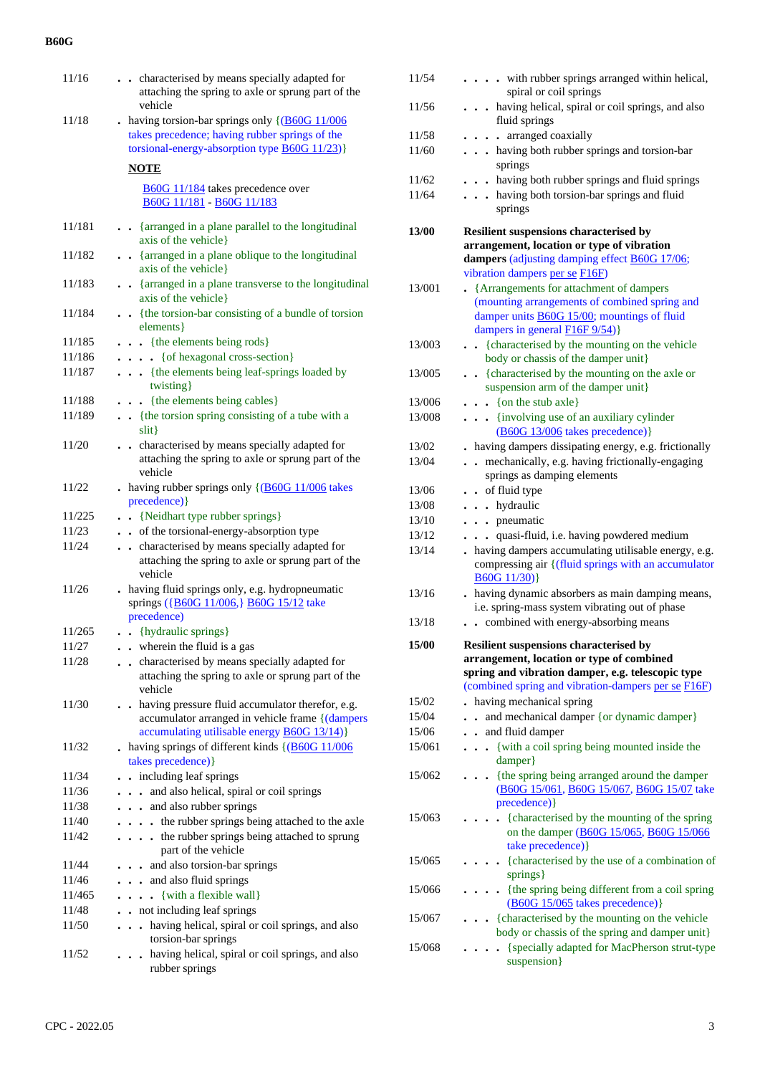| 11/16  | . characterised by means specially adapted for<br>attaching the spring to axle or sprung part of the<br>vehicle                                                      |
|--------|----------------------------------------------------------------------------------------------------------------------------------------------------------------------|
| 11/18  | - having torsion-bar springs only $\{$ (B60G 11/006<br>takes precedence; having rubber springs of the<br>torsional-energy-absorption type $\underline{B60G}$ 11/23)} |
|        | <b>NOTE</b>                                                                                                                                                          |
|        | B60G 11/184 takes precedence over<br>B60G 11/181 - B60G 11/183                                                                                                       |
| 11/181 | . . {arranged in a plane parallel to the longitudinal<br>axis of the vehicle }                                                                                       |
| 11/182 | . . {arranged in a plane oblique to the longitudinal<br>axis of the vehicle}                                                                                         |
| 11/183 | • {arranged in a plane transverse to the longitudinal<br>axis of the vehicle }                                                                                       |
| 11/184 | {the torsion-bar consisting of a bundle of torsion<br>elements }                                                                                                     |
| 11/185 | $\bullet$ $\bullet$ {the elements being rods}                                                                                                                        |
| 11/186 | . { of hexagonal cross-section}                                                                                                                                      |
| 11/187 | . {the elements being leaf-springs loaded by<br>twisting }                                                                                                           |
| 11/188 | {the elements being cables}                                                                                                                                          |
| 11/189 | {the torsion spring consisting of a tube with a<br>$\text{slit}$                                                                                                     |
| 11/20  | characterised by means specially adapted for<br>attaching the spring to axle or sprung part of the<br>vehicle                                                        |
| 11/22  | - having rubber springs only $\{(\underline{B60G} 11/006)$ takes<br>precedence) }                                                                                    |
| 11/225 | {Neidhart type rubber springs}<br>$\sim$                                                                                                                             |
| 11/23  | • of the torsional-energy-absorption type                                                                                                                            |
| 11/24  | characterised by means specially adapted for<br>$\sim$<br>attaching the spring to axle or sprung part of the<br>vehicle                                              |
| 11/26  | . having fluid springs only, e.g. hydropneumatic<br>springs ({B60G 11/006,} B60G 15/12 take<br>precedence)                                                           |
| 11/265 | . . {hydraulic springs}                                                                                                                                              |
| 11/27  | . wherein the fluid is a gas                                                                                                                                         |
| 11/28  | . characterised by means specially adapted for<br>attaching the spring to axle or sprung part of the<br>vehicle                                                      |
| 11/30  | . having pressure fluid accumulator therefor, e.g.<br>accumulator arranged in vehicle frame {(dampers<br>accumulating utilisable energy <b>B60G 13/14</b> )}         |
| 11/32  | . having springs of different kinds $\{(\underline{B60G} 11/006$<br>takes precedence) }                                                                              |
| 11/34  | including leaf springs                                                                                                                                               |
| 11/36  | and also helical, spiral or coil springs                                                                                                                             |
| 11/38  | and also rubber springs                                                                                                                                              |
| 11/40  | . . the rubber springs being attached to the axle                                                                                                                    |
| 11/42  | . the rubber springs being attached to sprung<br>part of the vehicle                                                                                                 |
| 11/44  | and also torsion-bar springs                                                                                                                                         |
| 11/46  | . . and also fluid springs                                                                                                                                           |
| 11/465 | $\ldots$ {with a flexible wall}                                                                                                                                      |
| 11/48  | . not including leaf springs                                                                                                                                         |
| 11/50  | . having helical, spiral or coil springs, and also<br>$\bullet$<br>torsion-bar springs                                                                               |
| 11/52  | having helical, spiral or coil springs, and also<br>$\ddot{\phantom{0}}$<br>rubber springs                                                                           |

| 11/54        | . with rubber springs arranged within helical,<br>spiral or coil springs                                                                                                                               |
|--------------|--------------------------------------------------------------------------------------------------------------------------------------------------------------------------------------------------------|
| 11/56        | . having helical, spiral or coil springs, and also                                                                                                                                                     |
|              | fluid springs                                                                                                                                                                                          |
| 11/58        | . arranged coaxially                                                                                                                                                                                   |
| 11/60        | . . having both rubber springs and torsion-bar<br>springs                                                                                                                                              |
| 11/62        | . . having both rubber springs and fluid springs                                                                                                                                                       |
| 11/64        | . having both torsion-bar springs and fluid<br>springs                                                                                                                                                 |
| <b>13/00</b> | <b>Resilient suspensions characterised by</b><br>arrangement, location or type of vibration<br>dampers (adjusting damping effect B60G 17/06;<br>vibration dampers per se F16F)                         |
| 13/001       | • {Arrangements for attachment of dampers<br>(mounting arrangements of combined spring and<br>damper units B60G 15/00; mountings of fluid<br>dampers in general <b>F16F</b> 9/54)}                     |
| 13/003       | {characterised by the mounting on the vehicle<br>body or chassis of the damper unit}                                                                                                                   |
| 13/005       | . {characterised by the mounting on the axle or<br>suspension arm of the damper unit}                                                                                                                  |
| 13/006       | $\bullet \bullet$ {on the stub axle}                                                                                                                                                                   |
| 13/008       | {involving use of an auxiliary cylinder<br>(B60G 13/006 takes precedence)}                                                                                                                             |
| 13/02        | . having dampers dissipating energy, e.g. frictionally                                                                                                                                                 |
| 13/04        | mechanically, e.g. having frictionally-engaging<br>$\ddot{\phantom{a}}$<br>springs as damping elements                                                                                                 |
| 13/06        | . . of fluid type                                                                                                                                                                                      |
| 13/08        | . hydraulic                                                                                                                                                                                            |
| 13/10        | . pneumatic                                                                                                                                                                                            |
| 13/12        | . quasi-fluid, i.e. having powdered medium                                                                                                                                                             |
| 13/14        | . having dampers accumulating utilisable energy, e.g.<br>compressing air {(fluid springs with an accumulator<br>B60G11/30)                                                                             |
| 13/16        | . having dynamic absorbers as main damping means,<br>i.e. spring-mass system vibrating out of phase                                                                                                    |
| 13/18        | . . combined with energy-absorbing means                                                                                                                                                               |
| 15/00        | <b>Resilient suspensions characterised by</b><br>arrangement, location or type of combined<br>spring and vibration damper, e.g. telescopic type<br>(combined spring and vibration-dampers per se F16F) |
| 15/02        | having mechanical spring                                                                                                                                                                               |
| 15/04        | and mechanical damper { or dynamic damper }                                                                                                                                                            |
| 15/06        | and fluid damper<br>$\ddot{\phantom{a}}$                                                                                                                                                               |
| 15/061       | . . {with a coil spring being mounted inside the<br>damper}                                                                                                                                            |
| 15/062       | {the spring being arranged around the damper<br>(B60G 15/061, B60G 15/067, B60G 15/07 take<br>precedence) }                                                                                            |
| 15/063       | • {characterised by the mounting of the spring<br>on the damper (B60G 15/065, B60G 15/066<br>take precedence) }                                                                                        |
| 15/065       | • {characterised by the use of a combination of<br>springs }                                                                                                                                           |
| 15/066       | {the spring being different from a coil spring<br>(B60G 15/065 takes precedence)}                                                                                                                      |
| 15/067       | {characterised by the mounting on the vehicle<br>body or chassis of the spring and damper unit}                                                                                                        |
| 15/068       | {specially adapted for MacPherson strut-type<br>suspension }                                                                                                                                           |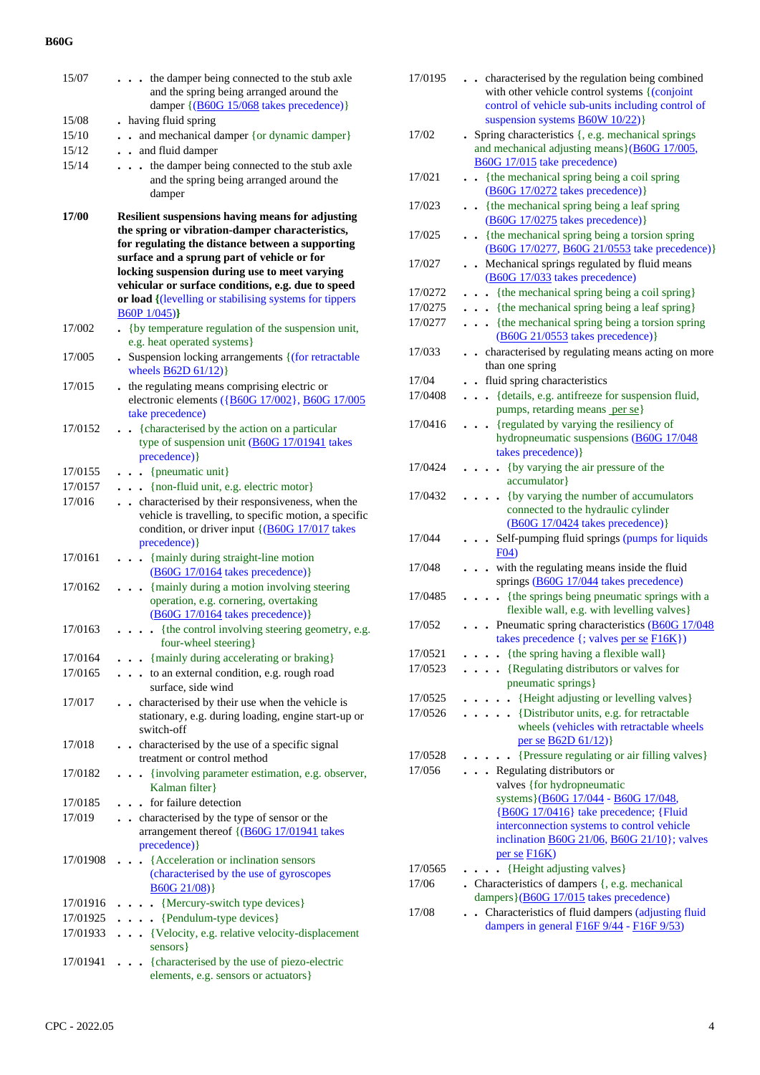| 15/07    | . the damper being connected to the stub axle<br>and the spring being arranged around the                                                                                                                                                                                                                            |
|----------|----------------------------------------------------------------------------------------------------------------------------------------------------------------------------------------------------------------------------------------------------------------------------------------------------------------------|
|          | damper {(B60G 15/068 takes precedence)}                                                                                                                                                                                                                                                                              |
| 15/08    | . having fluid spring                                                                                                                                                                                                                                                                                                |
| 15/10    | and mechanical damper {or dynamic damper}<br>$\ddot{\phantom{a}}$                                                                                                                                                                                                                                                    |
| 15/12    | and fluid damper<br>$\ddot{\phantom{0}}$                                                                                                                                                                                                                                                                             |
| 15/14    | the damper being connected to the stub axle<br>$\ddot{\phantom{0}}$                                                                                                                                                                                                                                                  |
|          | and the spring being arranged around the<br>damper                                                                                                                                                                                                                                                                   |
| 17/00    | <b>Resilient suspensions having means for adjusting</b><br>the spring or vibration-damper characteristics,<br>for regulating the distance between a supporting<br>surface and a sprung part of vehicle or for<br>locking suspension during use to meet varying<br>vehicular or surface conditions, e.g. due to speed |
|          | or load {(levelling or stabilising systems for tippers<br>B60P1/045)                                                                                                                                                                                                                                                 |
| 17/002   | {by temperature regulation of the suspension unit,                                                                                                                                                                                                                                                                   |
| 17/005   | e.g. heat operated systems }<br>• Suspension locking arrangements { (for retractable                                                                                                                                                                                                                                 |
|          | wheels $B62D61/12$ }                                                                                                                                                                                                                                                                                                 |
| 17/015   | the regulating means comprising electric or<br>electronic elements ({B60G 17/002}, B60G 17/005<br>take precedence)                                                                                                                                                                                                   |
| 17/0152  | {characterised by the action on a particular<br>$\ddot{\phantom{0}}$<br>type of suspension unit (B60G 17/01941 takes<br>precedence) }                                                                                                                                                                                |
| 17/0155  | $\bullet$ $\bullet$ {pneumatic unit}                                                                                                                                                                                                                                                                                 |
| 17/0157  | . {non-fluid unit, e.g. electric motor}                                                                                                                                                                                                                                                                              |
| 17/016   | . characterised by their responsiveness, when the<br>vehicle is travelling, to specific motion, a specific<br>condition, or driver input {(B60G 17/017 takes<br>precedence) }                                                                                                                                        |
| 17/0161  | {mainly during straight-line motion<br>$\ddot{\phantom{0}}$<br>(B60G 17/0164 takes precedence) }                                                                                                                                                                                                                     |
| 17/0162  | {mainly during a motion involving steering<br>$\cdots$                                                                                                                                                                                                                                                               |
|          | operation, e.g. cornering, overtaking<br>(B60G 17/0164 takes precedence) }                                                                                                                                                                                                                                           |
| 17/0163  | {the control involving steering geometry, e.g.<br>four-wheel steering}                                                                                                                                                                                                                                               |
| 17/0164  | . {mainly during accelerating or braking}                                                                                                                                                                                                                                                                            |
| 17/0165  | to an external condition, e.g. rough road<br>.<br>surface, side wind                                                                                                                                                                                                                                                 |
| 17/017   | characterised by their use when the vehicle is<br>$\ddot{\phantom{a}}$<br>stationary, e.g. during loading, engine start-up or<br>switch-off                                                                                                                                                                          |
| 17/018   | . characterised by the use of a specific signal<br>treatment or control method                                                                                                                                                                                                                                       |
| 17/0182  | . {involving parameter estimation, e.g. observer,<br>Kalman filter}                                                                                                                                                                                                                                                  |
| 17/0185  | for failure detection                                                                                                                                                                                                                                                                                                |
| 17/019   | characterised by the type of sensor or the<br>arrangement thereof {(B60G 17/01941 takes<br>precedence) }                                                                                                                                                                                                             |
| 17/01908 | {Acceleration or inclination sensors<br>(characterised by the use of gyroscopes<br>B60G 21/08)                                                                                                                                                                                                                       |
| 17/01916 | {Mercury-switch type devices}                                                                                                                                                                                                                                                                                        |
| 17/01925 | {Pendulum-type devices}<br>$\ddot{\phantom{0}}$                                                                                                                                                                                                                                                                      |
| 17/01933 | {Velocity, e.g. relative velocity-displacement<br>.<br>sensors }                                                                                                                                                                                                                                                     |
| 17/01941 | {characterised by the use of piezo-electric<br>elements, e.g. sensors or actuators}                                                                                                                                                                                                                                  |

| 17/0195 | characterised by the regulation being combined<br>with other vehicle control systems {(conjoint<br>control of vehicle sub-units including control of<br>suspension systems <b>B60W 10/22</b> )}                                            |
|---------|--------------------------------------------------------------------------------------------------------------------------------------------------------------------------------------------------------------------------------------------|
| 17/02   | . Spring characteristics {, e.g. mechanical springs<br>and mechanical adjusting means } (B60G 17/005,<br>B60G 17/015 take precedence)                                                                                                      |
| 17/021  | {the mechanical spring being a coil spring<br>(B60G 17/0272 takes precedence)}                                                                                                                                                             |
| 17/023  | {the mechanical spring being a leaf spring<br>$\ddot{\phantom{0}}$<br>(B60G 17/0275 takes precedence)}                                                                                                                                     |
| 17/025  | . {the mechanical spring being a torsion spring<br>(B60G 17/0277, B60G 21/0553 take precedence)}                                                                                                                                           |
| 17/027  | . Mechanical springs regulated by fluid means<br>(B60G 17/033 takes precedence)                                                                                                                                                            |
| 17/0272 | {the mechanical spring being a coil spring}                                                                                                                                                                                                |
| 17/0275 | {the mechanical spring being a leaf spring}                                                                                                                                                                                                |
| 17/0277 | {the mechanical spring being a torsion spring<br>.<br>$(B60G 21/0553$ takes precedence)}                                                                                                                                                   |
| 17/033  | characterised by regulating means acting on more<br>$\bullet$<br>than one spring                                                                                                                                                           |
| 17/04   | . fluid spring characteristics                                                                                                                                                                                                             |
| 17/0408 | {details, e.g. antifreeze for suspension fluid,<br>pumps, retarding means per se}                                                                                                                                                          |
| 17/0416 | {regulated by varying the resiliency of<br>hydropneumatic suspensions (B60G 17/048<br>takes precedence) }                                                                                                                                  |
| 17/0424 | (by varying the air pressure of the<br>$\bullet$<br>accumulator}                                                                                                                                                                           |
| 17/0432 | • {by varying the number of accumulators<br>connected to the hydraulic cylinder<br>(B60G 17/0424 takes precedence)}                                                                                                                        |
| 17/044  | Self-pumping fluid springs (pumps for liquids<br>E04                                                                                                                                                                                       |
| 17/048  | with the regulating means inside the fluid<br>springs (B60G 17/044 takes precedence)                                                                                                                                                       |
| 17/0485 | {the springs being pneumatic springs with a<br>$\ddot{\phantom{a}}$<br>flexible wall, e.g. with levelling valves}                                                                                                                          |
| 17/052  | . . Pneumatic spring characteristics (B60G 17/048<br>takes precedence $\{$ ; valves <u>per se <math>F16K\}</math></u> )                                                                                                                    |
| 17/0521 | {the spring having a flexible wall}                                                                                                                                                                                                        |
| 17/0523 | {Regulating distributors or valves for<br>pneumatic springs}                                                                                                                                                                               |
| 17/0525 | {Height adjusting or levelling valves}<br>$\ddot{\phantom{0}}$                                                                                                                                                                             |
| 17/0526 | {Distributor units, e.g. for retractable<br>$\ddot{\phantom{0}}$<br>wheels (vehicles with retractable wheels<br>per se <b>B62D 61/12</b> )}                                                                                                |
| 17/0528 | {Pressure regulating or air filling valves}                                                                                                                                                                                                |
| 17/056  | Regulating distributors or                                                                                                                                                                                                                 |
|         | valves {for hydropneumatic<br>systems } (B60G 17/044 - B60G 17/048,<br>{B60G 17/0416} take precedence; {Fluid<br>interconnection systems to control vehicle<br>inclination <b>B60G 21/06</b> , <b>B60G 21/10</b> }; valves<br>per se F16K) |
| 17/0565 | {Height adjusting valves}                                                                                                                                                                                                                  |
| 17/06   | . Characteristics of dampers {, e.g. mechanical                                                                                                                                                                                            |
|         | dampers}(B60G 17/015 takes precedence)                                                                                                                                                                                                     |
| 17/08   | Characteristics of fluid dampers (adjusting fluid<br>dampers in general <b>F16F</b> 9/44 - F16F 9/53)                                                                                                                                      |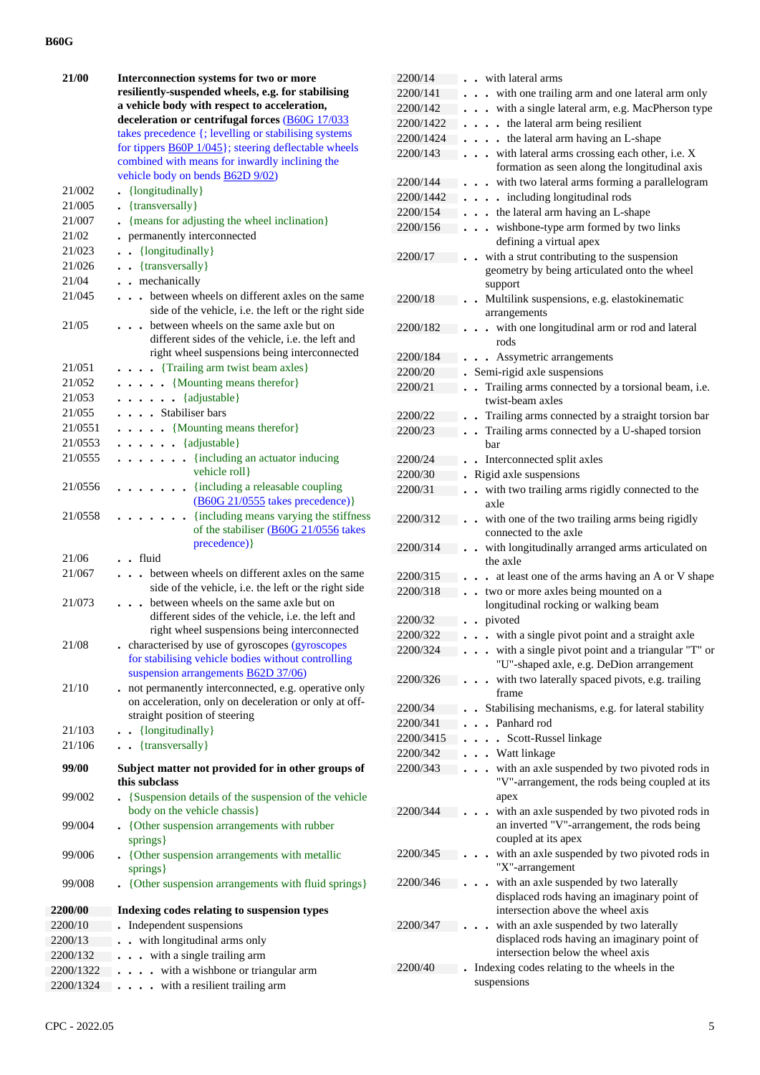| 21/00<br>21/002<br>21/005<br>21/007<br>21/02 | Interconnection systems for two or more<br>resiliently-suspended wheels, e.g. for stabilising<br>a vehicle body with respect to acceleration,<br>deceleration or centrifugal forces (B60G 17/033<br>takes precedence {; levelling or stabilising systems<br>for tippers $\underline{B60P}$ 1/045}; steering deflectable wheels<br>combined with means for inwardly inclining the<br>vehicle body on bends <b>B62D 9/02</b> )<br>{longitudinally}<br>• {transversally}<br>{means for adjusting the wheel inclination}<br>$\ddot{\phantom{0}}$<br>permanently interconnected<br>$\bullet$ |
|----------------------------------------------|-----------------------------------------------------------------------------------------------------------------------------------------------------------------------------------------------------------------------------------------------------------------------------------------------------------------------------------------------------------------------------------------------------------------------------------------------------------------------------------------------------------------------------------------------------------------------------------------|
| 21/023                                       | {longitudinally}                                                                                                                                                                                                                                                                                                                                                                                                                                                                                                                                                                        |
| 21/026                                       | . . {transversally}                                                                                                                                                                                                                                                                                                                                                                                                                                                                                                                                                                     |
| 21/04                                        | . . mechanically                                                                                                                                                                                                                                                                                                                                                                                                                                                                                                                                                                        |
| 21/045                                       | between wheels on different axles on the same<br>side of the vehicle, i.e. the left or the right side                                                                                                                                                                                                                                                                                                                                                                                                                                                                                   |
| 21/05                                        | between wheels on the same axle but on<br>different sides of the vehicle, i.e. the left and<br>right wheel suspensions being interconnected                                                                                                                                                                                                                                                                                                                                                                                                                                             |
| 21/051                                       | . {Trailing arm twist beam axles}                                                                                                                                                                                                                                                                                                                                                                                                                                                                                                                                                       |
| 21/052                                       | $\ldots$ $\ldots$ {Mounting means therefor}                                                                                                                                                                                                                                                                                                                                                                                                                                                                                                                                             |
| 21/053                                       | $\cdots$ $\cdots$ {adjustable}                                                                                                                                                                                                                                                                                                                                                                                                                                                                                                                                                          |
| 21/055                                       | . Stabiliser bars                                                                                                                                                                                                                                                                                                                                                                                                                                                                                                                                                                       |
| 21/0551                                      | $\ldots$ $\ldots$ {Mounting means therefor}                                                                                                                                                                                                                                                                                                                                                                                                                                                                                                                                             |
| 21/0553                                      | $\cdots$ $\cdots$ {adjustable}                                                                                                                                                                                                                                                                                                                                                                                                                                                                                                                                                          |
| 21/0555                                      | . {including an actuator inducing<br>vehicle roll}                                                                                                                                                                                                                                                                                                                                                                                                                                                                                                                                      |
| 21/0556                                      | $\cdots$ $\cdots$ $\cdots$ {including a releasable coupling<br>$(B60G 21/0555$ takes precedence)}                                                                                                                                                                                                                                                                                                                                                                                                                                                                                       |
| 21/0558                                      | $\ldots$ $\ldots$ {including means varying the stiffness<br>of the stabiliser (B60G 21/0556 takes<br>precedence) }                                                                                                                                                                                                                                                                                                                                                                                                                                                                      |
| 21/06                                        | fluid                                                                                                                                                                                                                                                                                                                                                                                                                                                                                                                                                                                   |
| 21/067                                       | between wheels on different axles on the same<br>$\ddot{\phantom{0}}$<br>side of the vehicle, i.e. the left or the right side                                                                                                                                                                                                                                                                                                                                                                                                                                                           |
| 21/073                                       | between wheels on the same axle but on<br>different sides of the vehicle, i.e. the left and<br>right wheel suspensions being interconnected                                                                                                                                                                                                                                                                                                                                                                                                                                             |
| 21/08                                        | . characterised by use of gyroscopes (gyroscopes<br>for stabilising vehicle bodies without controlling<br>suspension arrangements <b>B62D 37/06</b> )                                                                                                                                                                                                                                                                                                                                                                                                                                   |
| 21/10                                        | not permanently interconnected, e.g. operative only<br>$\ddot{\phantom{0}}$<br>on acceleration, only on deceleration or only at off-<br>straight position of steering                                                                                                                                                                                                                                                                                                                                                                                                                   |
| 21/103                                       | . . {longitudinally}                                                                                                                                                                                                                                                                                                                                                                                                                                                                                                                                                                    |
| 21/106                                       | . . {transversally}                                                                                                                                                                                                                                                                                                                                                                                                                                                                                                                                                                     |
| 99/00                                        | Subject matter not provided for in other groups of<br>this subclass                                                                                                                                                                                                                                                                                                                                                                                                                                                                                                                     |
| 99/002                                       | {Suspension details of the suspension of the vehicle<br>body on the vehicle chassis}                                                                                                                                                                                                                                                                                                                                                                                                                                                                                                    |
| 99/004                                       | • {Other suspension arrangements with rubber<br>springs}                                                                                                                                                                                                                                                                                                                                                                                                                                                                                                                                |
| 99/006                                       | • {Other suspension arrangements with metallic<br>springs}                                                                                                                                                                                                                                                                                                                                                                                                                                                                                                                              |
| 99/008                                       | {Other suspension arrangements with fluid springs}                                                                                                                                                                                                                                                                                                                                                                                                                                                                                                                                      |
| 2200/00                                      | Indexing codes relating to suspension types                                                                                                                                                                                                                                                                                                                                                                                                                                                                                                                                             |
| 2200/10                                      | Independent suspensions                                                                                                                                                                                                                                                                                                                                                                                                                                                                                                                                                                 |
| 2200/13                                      | with longitudinal arms only                                                                                                                                                                                                                                                                                                                                                                                                                                                                                                                                                             |
| 2200/132                                     | with a single trailing arm                                                                                                                                                                                                                                                                                                                                                                                                                                                                                                                                                              |
| 2200/1322                                    | with a wishbone or triangular arm                                                                                                                                                                                                                                                                                                                                                                                                                                                                                                                                                       |
| 2200/1324                                    | with a resilient trailing arm                                                                                                                                                                                                                                                                                                                                                                                                                                                                                                                                                           |

| 2200/14   | with lateral arms                                                                                                      |
|-----------|------------------------------------------------------------------------------------------------------------------------|
| 2200/141  | with one trailing arm and one lateral arm only                                                                         |
| 2200/142  | with a single lateral arm, e.g. MacPherson type<br>$\ddot{\phantom{0}}$                                                |
| 2200/1422 | . the lateral arm being resilient                                                                                      |
| 2200/1424 | the lateral arm having an L-shape<br>$\ddot{\bullet}$<br>$\ddot{\phantom{0}}$                                          |
| 2200/143  | with lateral arms crossing each other, i.e. X<br>$\ddot{\phantom{a}}$<br>formation as seen along the longitudinal axis |
| 2200/144  | with two lateral arms forming a parallelogram                                                                          |
| 2200/1442 | . including longitudinal rods<br>$\bullet$                                                                             |
| 2200/154  | . the lateral arm having an L-shape                                                                                    |
| 2200/156  | wishbone-type arm formed by two links<br>. .                                                                           |
|           | defining a virtual apex                                                                                                |
| 2200/17   | with a strut contributing to the suspension<br>geometry by being articulated onto the wheel<br>support                 |
| 2200/18   | Multilink suspensions, e.g. elastokinematic<br>arrangements                                                            |
| 2200/182  | with one longitudinal arm or rod and lateral                                                                           |
|           | rods                                                                                                                   |
| 2200/184  | Assymetric arrangements                                                                                                |
| 2200/20   | Semi-rigid axle suspensions                                                                                            |
| 2200/21   | Trailing arms connected by a torsional beam, i.e.<br>$\cdot$<br>twist-beam axles                                       |
| 2200/22   | Trailing arms connected by a straight torsion bar                                                                      |
| 2200/23   | . Trailing arms connected by a U-shaped torsion                                                                        |
|           | bar                                                                                                                    |
| 2200/24   | Interconnected split axles                                                                                             |
| 2200/30   | Rigid axle suspensions                                                                                                 |
| 2200/31   | with two trailing arms rigidly connected to the<br>$\ddot{\phantom{0}}$<br>axle                                        |
| 2200/312  | with one of the two trailing arms being rigidly<br>$\ddot{\phantom{a}}$<br>connected to the axle                       |
| 2200/314  | with longitudinally arranged arms articulated on<br>the axle                                                           |
| 2200/315  | at least one of the arms having an A or V shape                                                                        |
| 2200/318  | two or more axles being mounted on a<br>$\ddot{\phantom{a}}$                                                           |
|           | longitudinal rocking or walking beam                                                                                   |
| 2200/32   | pivoted                                                                                                                |
| 2200/322  | with a single pivot point and a straight axle                                                                          |
| 2200/324  | with a single pivot point and a triangular "T" or<br>$\ddot{\phantom{0}}$                                              |
|           | "U"-shaped axle, e.g. DeDion arrangement                                                                               |
| 2200/326  | with two laterally spaced pivots, e.g. trailing<br>frame                                                               |
| 2200/34   | Stabilising mechanisms, e.g. for lateral stability                                                                     |
| 2200/341  | Panhard rod                                                                                                            |
| 2200/3415 | Scott-Russel linkage<br>$\overline{a}$                                                                                 |
| 2200/342  | Watt linkage                                                                                                           |
| 2200/343  | with an axle suspended by two pivoted rods in<br>"V"-arrangement, the rods being coupled at its<br>apex                |
| 2200/344  | with an axle suspended by two pivoted rods in<br>an inverted "V"-arrangement, the rods being<br>coupled at its apex    |
| 2200/345  | with an axle suspended by two pivoted rods in<br>"X"-arrangement                                                       |
| 2200/346  | with an axle suspended by two laterally<br>displaced rods having an imaginary point of                                 |
|           | intersection above the wheel axis                                                                                      |
| 2200/347  | with an axle suspended by two laterally                                                                                |
|           | displaced rods having an imaginary point of                                                                            |
|           | intersection below the wheel axis                                                                                      |
| 2200/40   | Indexing codes relating to the wheels in the<br>suspensions                                                            |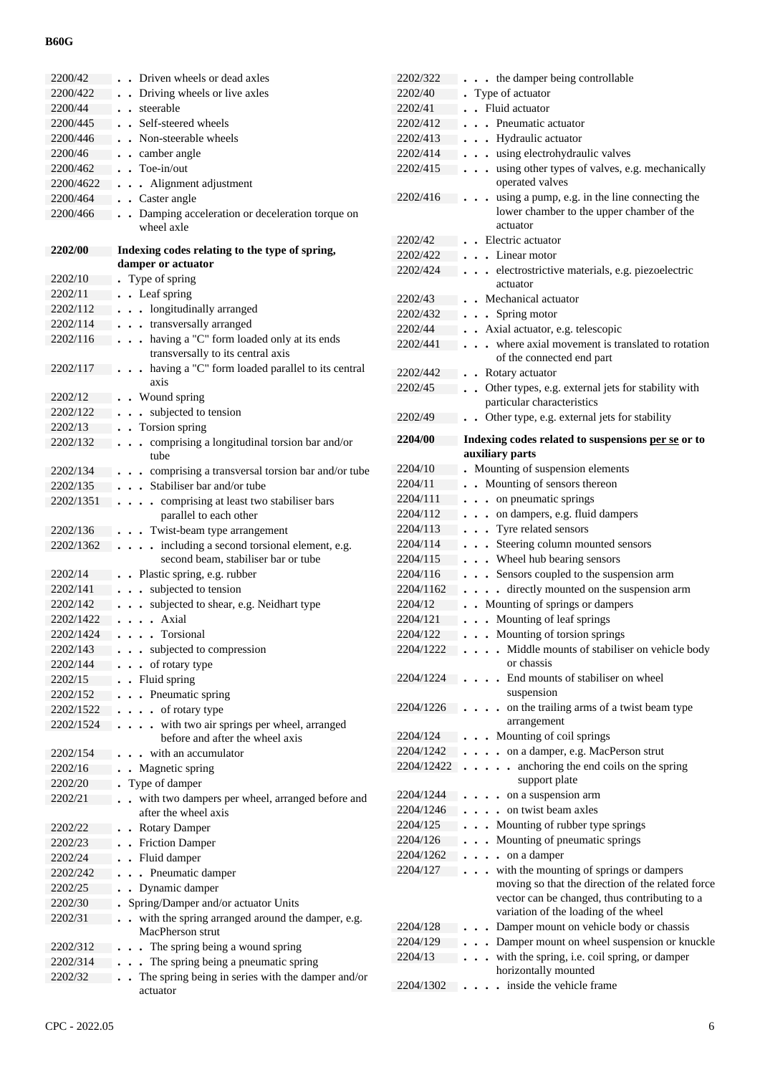| 2200/42   | Driven wheels or dead axles                                              |
|-----------|--------------------------------------------------------------------------|
| 2200/422  | Driving wheels or live axles<br>$\ddot{\phantom{0}}$                     |
| 2200/44   | steerable<br>$\ddot{\phantom{0}}$                                        |
| 2200/445  | Self-steered wheels<br>$\ddot{\phantom{a}}$                              |
| 2200/446  | Non-steerable wheels                                                     |
| 2200/46   | camber angle<br>$\ddot{\phantom{0}}$                                     |
| 2200/462  | • Toe-in/out                                                             |
| 2200/4622 | • Alignment adjustment                                                   |
| 2200/464  | Caster angle<br>$\ddot{\phantom{0}}$                                     |
| 2200/466  | Damping acceleration or deceleration torque on<br>$\ddot{\phantom{a}}$   |
|           | wheel axle                                                               |
|           |                                                                          |
| 2202/00   | Indexing codes relating to the type of spring,                           |
|           | damper or actuator                                                       |
| 2202/10   | Type of spring                                                           |
| 2202/11   | • Leaf spring                                                            |
| 2202/112  | • longitudinally arranged                                                |
| 2202/114  | - transversally arranged                                                 |
| 2202/116  | . . having a "C" form loaded only at its ends                            |
|           | transversally to its central axis                                        |
| 2202/117  | having a "C" form loaded parallel to its central<br>$\ddot{\phantom{0}}$ |
|           | axis                                                                     |
| 2202/12   | . Wound spring                                                           |
| 2202/122  | subjected to tension<br>$\ddot{\phantom{0}}$                             |
| 2202/13   | Torsion spring                                                           |
| 2202/132  | comprising a longitudinal torsion bar and/or<br>$\ddot{\phantom{0}}$     |
|           | tube                                                                     |
| 2202/134  | comprising a transversal torsion bar and/or tube                         |
| 2202/135  | Stabiliser bar and/or tube                                               |
| 2202/1351 | comprising at least two stabiliser bars<br>$\ddot{\phantom{a}}$          |
|           | parallel to each other                                                   |
| 2202/136  | Twist-beam type arrangement                                              |
| 2202/1362 | including a second torsional element, e.g.<br>$\ddot{\phantom{a}}$       |
|           | second beam, stabiliser bar or tube                                      |
| 2202/14   | Plastic spring, e.g. rubber                                              |
| 2202/141  | subjected to tension<br>$\ddot{\phantom{0}}$                             |
| 2202/142  | subjected to shear, e.g. Neidhart type                                   |
| 2202/1422 | Axial                                                                    |
| 2202/1424 | Torsional<br>$\cdot$<br>$\ddot{\phantom{1}}$                             |
| 2202/143  | subjected to compression                                                 |
| 2202/144  | of rotary type                                                           |
| 2202/15   | Fluid spring                                                             |
| 2202/152  | Pneumatic spring                                                         |
| 2202/1522 | of rotary type<br>$\ddot{\phantom{0}}$                                   |
| 2202/1524 | with two air springs per wheel, arranged                                 |
|           | before and after the wheel axis                                          |
| 2202/154  | with an accumulator                                                      |
| 2202/16   | . Magnetic spring                                                        |
| 2202/20   | Type of damper                                                           |
| 2202/21   | with two dampers per wheel, arranged before and<br>after the wheel axis  |
|           |                                                                          |
| 2202/22   | <b>Rotary Damper</b>                                                     |
| 2202/23   | <b>Friction Damper</b>                                                   |
| 2202/24   | Fluid damper<br>$\ddot{\phantom{0}}$                                     |
| 2202/242  | . Pneumatic damper                                                       |
| 2202/25   | Dynamic damper<br>$\ddot{\phantom{a}}$                                   |
| 2202/30   | Spring/Damper and/or actuator Units                                      |
| 2202/31   | with the spring arranged around the damper, e.g.<br>$\ddot{\phantom{0}}$ |
|           | MacPherson strut                                                         |
| 2202/312  | The spring being a wound spring                                          |
| 2202/314  | The spring being a pneumatic spring                                      |
| 2202/32   | The spring being in series with the damper and/or                        |
|           | actuator                                                                 |

| 2202/322             | . . the damper being controllable                                                                                                                                                                              |
|----------------------|----------------------------------------------------------------------------------------------------------------------------------------------------------------------------------------------------------------|
| 2202/40              | Type of actuator                                                                                                                                                                                               |
| 2202/41              | Fluid actuator                                                                                                                                                                                                 |
| 2202/412             | Pneumatic actuator                                                                                                                                                                                             |
| 2202/413             | • Hydraulic actuator                                                                                                                                                                                           |
| 2202/414             | using electrohydraulic valves<br>$\ddot{\phantom{a}}$                                                                                                                                                          |
| 2202/415             | using other types of valves, e.g. mechanically<br>$\ddot{\phantom{a}}$<br>$\ddot{\phantom{a}}$<br>operated valves                                                                                              |
| 2202/416             | using a pump, e.g. in the line connecting the<br>$\bullet$<br>lower chamber to the upper chamber of the<br>actuator                                                                                            |
| 2202/42              | Electric actuator                                                                                                                                                                                              |
| 2202/422             | Linear motor                                                                                                                                                                                                   |
| 2202/424             | electrostrictive materials, e.g. piezoelectric<br>actuator                                                                                                                                                     |
| 2202/43              | Mechanical actuator                                                                                                                                                                                            |
| 2202/432             | Spring motor<br>$\ddot{\phantom{a}}$                                                                                                                                                                           |
| 2202/44              | Axial actuator, e.g. telescopic                                                                                                                                                                                |
| 2202/441             | where axial movement is translated to rotation<br>$\overline{a}$<br>of the connected end part                                                                                                                  |
| 2202/442             | Rotary actuator<br>$\bullet$                                                                                                                                                                                   |
| 2202/45              | Other types, e.g. external jets for stability with<br>$\ddot{\phantom{a}}$<br>particular characteristics                                                                                                       |
| 2202/49              | Other type, e.g. external jets for stability                                                                                                                                                                   |
| 2204/00              | Indexing codes related to suspensions per se or to<br>auxiliary parts                                                                                                                                          |
| 2204/10              | Mounting of suspension elements                                                                                                                                                                                |
| 2204/11              | • Mounting of sensors thereon                                                                                                                                                                                  |
| 2204/111             | . . on pneumatic springs                                                                                                                                                                                       |
| 2204/112             | . . on dampers, e.g. fluid dampers                                                                                                                                                                             |
| 2204/113             | . Tyre related sensors                                                                                                                                                                                         |
| 2204/114             | Steering column mounted sensors<br>$\ddot{\phantom{0}}$                                                                                                                                                        |
|                      |                                                                                                                                                                                                                |
|                      |                                                                                                                                                                                                                |
| 2204/115             | . Wheel hub bearing sensors                                                                                                                                                                                    |
| 2204/116             | Sensors coupled to the suspension arm<br>$\ddots$                                                                                                                                                              |
| 2204/1162            | directly mounted on the suspension arm<br>$\ddot{\phantom{a}}$                                                                                                                                                 |
| 2204/12              | Mounting of springs or dampers                                                                                                                                                                                 |
| 2204/121<br>2204/122 | Mounting of leaf springs<br>$\ddot{\phantom{0}}$                                                                                                                                                               |
|                      | Mounting of torsion springs<br>$\ddot{\phantom{0}}$<br>$\ddot{\phantom{a}}$                                                                                                                                    |
| 2204/1222            | Middle mounts of stabiliser on vehicle body<br>or chassis                                                                                                                                                      |
| 2204/1224            | End mounts of stabiliser on wheel<br>suspension                                                                                                                                                                |
| 2204/1226            | on the trailing arms of a twist beam type<br>arrangement                                                                                                                                                       |
| 2204/124             |                                                                                                                                                                                                                |
| 2204/1242            | Mounting of coil springs<br>$\overline{a}$                                                                                                                                                                     |
| 2204/12422           | on a damper, e.g. MacPerson strut<br>anchoring the end coils on the spring<br>$\ddot{\phantom{a}}$<br>support plate                                                                                            |
| 2204/1244            |                                                                                                                                                                                                                |
| 2204/1246            | on a suspension arm<br>on twist beam axles                                                                                                                                                                     |
| 2204/125             |                                                                                                                                                                                                                |
| 2204/126             | Mounting of rubber type springs                                                                                                                                                                                |
|                      | Mounting of pneumatic springs                                                                                                                                                                                  |
| 2204/1262            | on a damper<br>$\ddot{\phantom{0}}$                                                                                                                                                                            |
| 2204/127             | with the mounting of springs or dampers<br>$\ddot{\phantom{0}}$<br>moving so that the direction of the related force<br>vector can be changed, thus contributing to a<br>variation of the loading of the wheel |
| 2204/128             | Damper mount on vehicle body or chassis                                                                                                                                                                        |
| 2204/129             | Damper mount on wheel suspension or knuckle<br>$\ddot{\phantom{a}}$                                                                                                                                            |
| 2204/13              | with the spring, i.e. coil spring, or damper                                                                                                                                                                   |
|                      | horizontally mounted<br>inside the vehicle frame                                                                                                                                                               |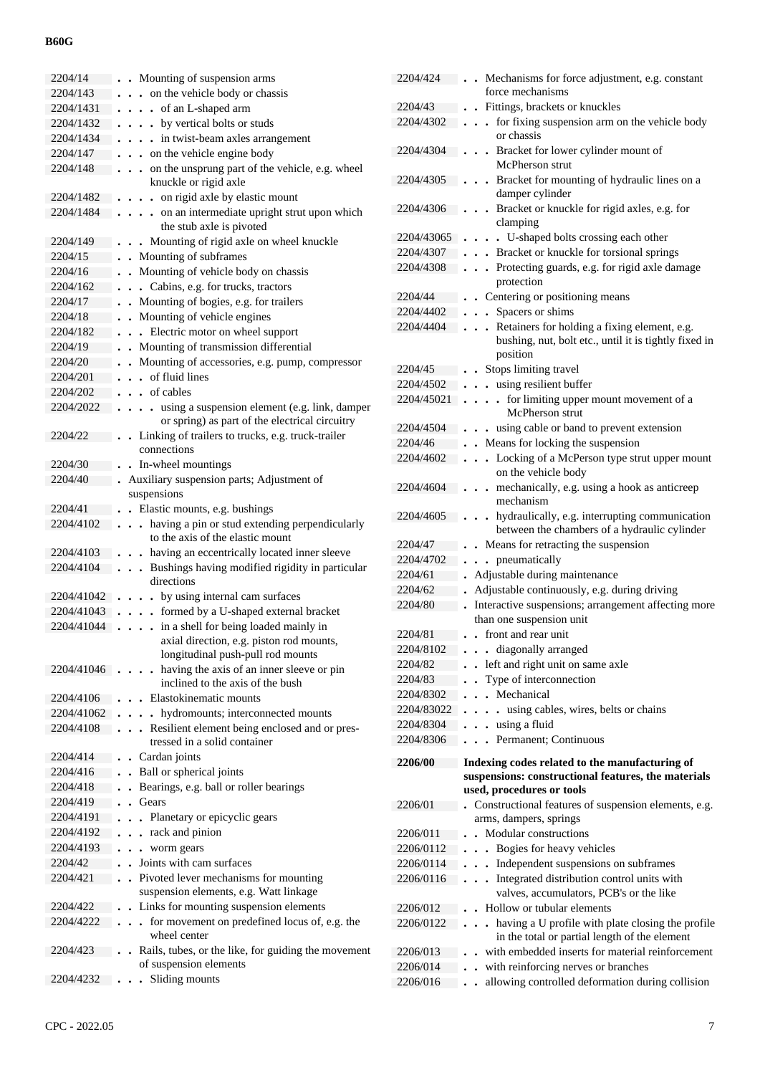| 2204/14      | • Mounting of suspension arms                                                              |
|--------------|--------------------------------------------------------------------------------------------|
| 2204/143     | on the vehicle body or chassis<br>$\ddot{\phantom{0}}$                                     |
| 2204/1431    | . of an L-shaped arm<br>$\ddot{\phantom{0}}$                                               |
| 2204/1432    | by vertical bolts or studs                                                                 |
| 2204/1434    | . in twist-beam axles arrangement                                                          |
| 2204/147     | on the vehicle engine body<br>$\ddotsc$                                                    |
| 2204/148     | on the unsprung part of the vehicle, e.g. wheel<br>$\ddot{\phantom{0}}$                    |
|              | knuckle or rigid axle                                                                      |
| 2204/1482    | on rigid axle by elastic mount<br>$\ddot{\phantom{0}}$                                     |
| 2204/1484    | on an intermediate upright strut upon which                                                |
|              | the stub axle is pivoted                                                                   |
| 2204/149     | Mounting of rigid axle on wheel knuckle                                                    |
| 2204/15      | Mounting of subframes                                                                      |
| 2204/16      | Mounting of vehicle body on chassis<br>$\ddot{\phantom{0}}$                                |
| 2204/162     | Cabins, e.g. for trucks, tractors<br>$\ddot{\phantom{a}}$                                  |
| 2204/17      | Mounting of bogies, e.g. for trailers<br>$\ddot{\phantom{0}}$                              |
| 2204/18      | Mounting of vehicle engines<br>$\ddot{\phantom{0}}$                                        |
| 2204/182     | Electric motor on wheel support<br>$\ddot{\phantom{a}}$                                    |
| 2204/19      | Mounting of transmission differential                                                      |
| 2204/20      | Mounting of accessories, e.g. pump, compressor<br>$\ddot{\phantom{0}}$                     |
| 2204/201     | of fluid lines<br>$\mathbf{r}$                                                             |
| 2204/202     | $\cdot$ of cables                                                                          |
| 2204/2022    | using a suspension element (e.g. link, damper<br>$\ddot{\phantom{a}}$                      |
|              | or spring) as part of the electrical circuitry                                             |
| 2204/22      | Linking of trailers to trucks, e.g. truck-trailer<br>$\ddot{\phantom{a}}$<br>connections   |
| 2204/30      | In-wheel mountings                                                                         |
| 2204/40      | $\ddot{\phantom{0}}$<br>Auxiliary suspension parts; Adjustment of                          |
|              | suspensions                                                                                |
| 2204/41      | • Elastic mounts, e.g. bushings                                                            |
| 2204/4102    | having a pin or stud extending perpendicularly<br>$\ddot{\phantom{0}}$                     |
|              | to the axis of the elastic mount                                                           |
| 2204/4103    | . having an eccentrically located inner sleeve                                             |
| 2204/4104    | Bushings having modified rigidity in particular<br>$\ddot{\phantom{a}}$                    |
|              | directions                                                                                 |
| 2204/41042   | by using internal cam surfaces<br>$\ddot{\phantom{0}}$                                     |
| 2204/41043   | . formed by a U-shaped external bracket<br>$\cdot$                                         |
| 2204/41044   | in a shell for being loaded mainly in<br>$\ddot{\phantom{0}}$                              |
|              | axial direction, e.g. piston rod mounts,                                                   |
|              | longitudinal push-pull rod mounts                                                          |
| $2204/41046$ | having the axis of an inner sleeve or pin<br>$\ddot{\phantom{0}}$                          |
|              | inclined to the axis of the bush                                                           |
| 2204/4106    | • Elastokinematic mounts                                                                   |
| 2204/41062   | • hydromounts; interconnected mounts                                                       |
| 2204/4108    | Resilient element being enclosed and or pres-<br>$\ddot{\phantom{0}}$                      |
| 2204/414     | tressed in a solid container<br>. Cardan joints                                            |
| 2204/416     |                                                                                            |
| 2204/418     | Ball or spherical joints<br>$\ddot{\phantom{0}}$<br>Bearings, e.g. ball or roller bearings |
| 2204/419     | Gears                                                                                      |
| 2204/4191    |                                                                                            |
| 2204/4192    | Planetary or epicyclic gears<br>$\ddot{\phantom{0}}$<br>rack and pinion                    |
| 2204/4193    | $\ddot{\phantom{0}}$                                                                       |
| 2204/42      | worm gears<br>$\ddot{\phantom{0}}$<br>$\ddot{\phantom{0}}$<br>Joints with cam surfaces     |
| 2204/421     | Pivoted lever mechanisms for mounting                                                      |
|              | suspension elements, e.g. Watt linkage                                                     |
| 2204/422     | Links for mounting suspension elements                                                     |
| 2204/4222    | . for movement on predefined locus of, e.g. the                                            |
|              | wheel center                                                                               |
| 2204/423     | Rails, tubes, or the like, for guiding the movement                                        |
|              | of suspension elements                                                                     |
| 2204/4232    | Sliding mounts                                                                             |
|              |                                                                                            |

| 2204/424   | . Mechanisms for force adjustment, e.g. constant                                                              |
|------------|---------------------------------------------------------------------------------------------------------------|
|            | force mechanisms                                                                                              |
| 2204/43    | Fittings, brackets or knuckles                                                                                |
| 2204/4302  | for fixing suspension arm on the vehicle body<br>$\ddot{\phantom{0}}$<br>$\ddot{\phantom{0}}$<br>or chassis   |
| 2204/4304  | Bracket for lower cylinder mount of<br>$\ddot{\phantom{1}}$<br>McPherson strut                                |
| 2204/4305  | Bracket for mounting of hydraulic lines on a<br>damper cylinder                                               |
| 2204/4306  | Bracket or knuckle for rigid axles, e.g. for<br>clamping                                                      |
| 2204/43065 | . U-shaped bolts crossing each other                                                                          |
| 2204/4307  | Bracket or knuckle for torsional springs<br>$\ddot{\phantom{0}}$                                              |
| 2204/4308  | Protecting guards, e.g. for rigid axle damage<br>$\ddot{\phantom{0}}$<br>$\ddot{\phantom{0}}$                 |
|            | protection                                                                                                    |
| 2204/44    | Centering or positioning means                                                                                |
| 2204/4402  | Spacers or shims<br>$\ddot{\phantom{a}}$                                                                      |
| 2204/4404  | Retainers for holding a fixing element, e.g.<br>$\ddot{\phantom{0}}$                                          |
|            | bushing, nut, bolt etc., until it is tightly fixed in<br>position                                             |
| 2204/45    | • Stops limiting travel                                                                                       |
| 2204/4502  | . . using resilient buffer                                                                                    |
| 2204/45021 | . for limiting upper mount movement of a                                                                      |
|            | McPherson strut                                                                                               |
| 2204/4504  | . using cable or band to prevent extension                                                                    |
| 2204/46    | Means for locking the suspension<br>$\ddot{\phantom{0}}$                                                      |
| 2204/4602  | • Locking of a McPerson type strut upper mount<br>$\ddot{\phantom{0}}$                                        |
|            | on the vehicle body                                                                                           |
| 2204/4604  | . mechanically, e.g. using a hook as anticreep                                                                |
|            | mechanism                                                                                                     |
| 2204/4605  | hydraulically, e.g. interrupting communication<br>between the chambers of a hydraulic cylinder                |
| 2204/47    | . Means for retracting the suspension                                                                         |
|            | . pneumatically                                                                                               |
| 2204/4702  |                                                                                                               |
| 2204/61    | Adjustable during maintenance                                                                                 |
| 2204/62    | Adjustable continuously, e.g. during driving                                                                  |
| 2204/80    | Interactive suspensions; arrangement affecting more<br>than one suspension unit                               |
| 2204/81    | front and rear unit<br>$\ddot{\phantom{a}}$                                                                   |
| 2204/8102  |                                                                                                               |
|            | . diagonally arranged<br>left and right unit on same axle                                                     |
| 2204/82    |                                                                                                               |
| 2204/83    | Type of interconnection                                                                                       |
| 2204/8302  | Mechanical                                                                                                    |
| 2204/83022 | using cables, wires, belts or chains<br>$\ddot{\phantom{0}}$                                                  |
| 2204/8304  | using a fluid<br>$\ddot{\phantom{0}}$                                                                         |
| 2204/8306  | Permanent; Continuous<br>$\overline{a}$                                                                       |
| 2206/00    | Indexing codes related to the manufacturing of                                                                |
|            | suspensions: constructional features, the materials<br>used, procedures or tools                              |
| 2206/01    | Constructional features of suspension elements, e.g.                                                          |
|            | arms, dampers, springs                                                                                        |
| 2206/011   | Modular constructions                                                                                         |
| 2206/0112  | Bogies for heavy vehicles<br>$\ddot{\phantom{0}}$                                                             |
| 2206/0114  | Independent suspensions on subframes<br>$\ddot{\phantom{0}}$                                                  |
| 2206/0116  | Integrated distribution control units with<br>$\ddot{\phantom{0}}$<br>valves, accumulators, PCB's or the like |
| 2206/012   | Hollow or tubular elements                                                                                    |
| 2206/0122  | $\overline{a}$                                                                                                |
|            | having a U profile with plate closing the profile<br>in the total or partial length of the element            |
| 2206/013   | with embedded inserts for material reinforcement                                                              |
| 2206/014   | with reinforcing nerves or branches                                                                           |
| 2206/016   | allowing controlled deformation during collision                                                              |
|            |                                                                                                               |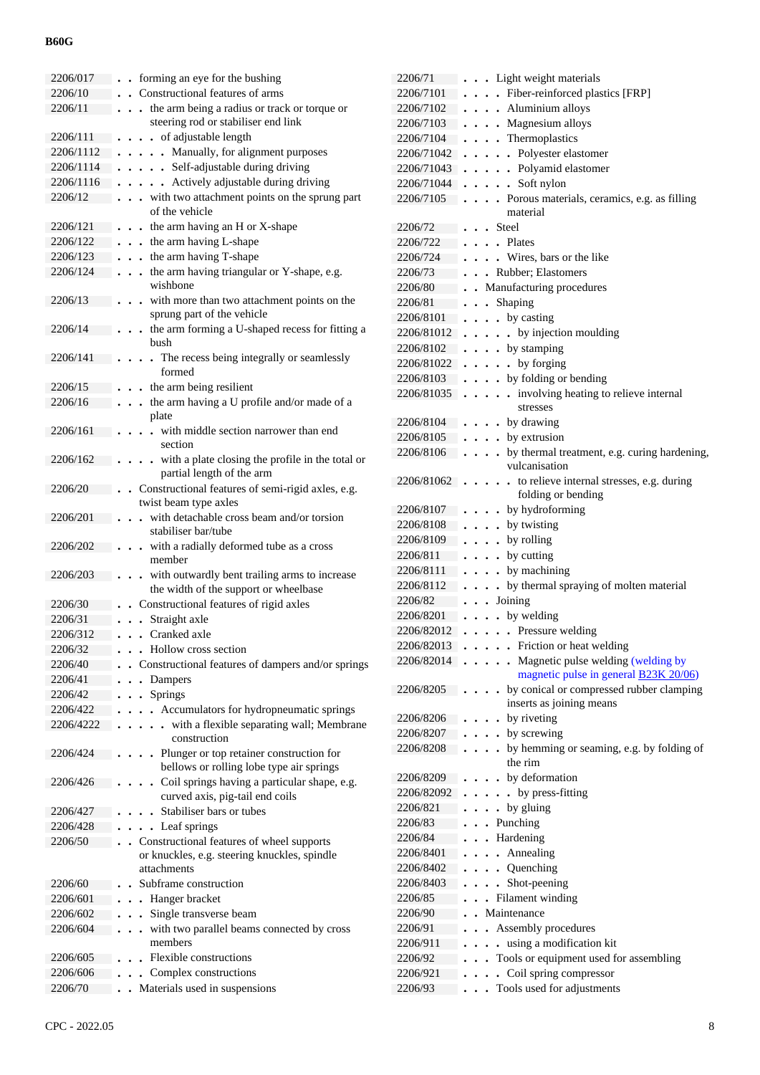| 2206/017  | forming an eye for the bushing                                                   |
|-----------|----------------------------------------------------------------------------------|
| 2206/10   | Constructional features of arms                                                  |
| 2206/11   | the arm being a radius or track or torque or<br>$\cdot$                          |
|           | steering rod or stabiliser end link                                              |
| 2206/111  | of adjustable length<br>$\ddot{\phantom{a}}$                                     |
| 2206/1112 | Manually, for alignment purposes<br>$\ddot{\phantom{a}}$<br>$\ddot{\phantom{0}}$ |
| 2206/1114 | Self-adjustable during driving<br>$\ddot{\phantom{0}}$<br>$\ddot{\phantom{0}}$   |
| 2206/1116 | Actively adjustable during driving<br>$\ddot{\phantom{0}}$                       |
| 2206/12   | with two attachment points on the sprung part<br>$\ddot{\phantom{0}}$            |
|           | of the vehicle                                                                   |
| 2206/121  | the arm having an H or X-shape                                                   |
|           | $\bullet$<br>. the arm having L-shape                                            |
| 2206/122  |                                                                                  |
| 2206/123  | . the arm having T-shape                                                         |
| 2206/124  | the arm having triangular or Y-shape, e.g.                                       |
|           | wishbone                                                                         |
| 2206/13   | with more than two attachment points on the                                      |
|           | sprung part of the vehicle                                                       |
| 2206/14   | the arm forming a U-shaped recess for fitting a                                  |
|           | bush                                                                             |
| 2206/141  | The recess being integrally or seamlessly                                        |
|           | formed                                                                           |
| 2206/15   | the arm being resilient                                                          |
| 2206/16   | the arm having a U profile and/or made of a                                      |
|           | plate                                                                            |
| 2206/161  | with middle section narrower than end                                            |
|           | section                                                                          |
| 2206/162  | with a plate closing the profile in the total or                                 |
|           | partial length of the arm                                                        |
| 2206/20   | Constructional features of semi-rigid axles, e.g.                                |
|           | twist beam type axles                                                            |
| 2206/201  | with detachable cross beam and/or torsion                                        |
|           | stabiliser bar/tube                                                              |
| 2206/202  | with a radially deformed tube as a cross                                         |
|           | member                                                                           |
| 2206/203  | with outwardly bent trailing arms to increase                                    |
|           | the width of the support or wheelbase                                            |
| 2206/30   | Constructional features of rigid axles                                           |
| 2206/31   | Straight axle                                                                    |
| 2206/312  | Cranked axle<br>$\ddot{\phantom{a}}$<br>$\ddot{\phantom{0}}$                     |
| 2206/32   | • Hollow cross section                                                           |
| 2206/40   | Constructional features of dampers and/or springs                                |
|           |                                                                                  |
| 2206/41   | Dampers                                                                          |
| 2206/42   | Springs                                                                          |
| 2206/422  | Accumulators for hydropneumatic springs                                          |
| 2206/4222 | with a flexible separating wall; Membrane                                        |
|           | construction                                                                     |
| 2206/424  | Plunger or top retainer construction for                                         |
|           | bellows or rolling lobe type air springs                                         |
| 2206/426  | Coil springs having a particular shape, e.g.                                     |
|           | curved axis, pig-tail end coils                                                  |
| 2206/427  | Stabiliser bars or tubes                                                         |
| 2206/428  | Leaf springs<br>$\ddot{\phantom{0}}$                                             |
| 2206/50   | Constructional features of wheel supports<br>$\ddot{\phantom{0}}$                |
|           | or knuckles, e.g. steering knuckles, spindle                                     |
|           | attachments                                                                      |
| 2206/60   | Subframe construction                                                            |
| 2206/601  | Hanger bracket<br>$\ddot{\phantom{0}}$                                           |
| 2206/602  | Single transverse beam                                                           |
| 2206/604  | with two parallel beams connected by cross                                       |
|           | members                                                                          |
| 2206/605  | Flexible constructions                                                           |
| 2206/606  | Complex constructions                                                            |
| 2206/70   | Materials used in suspensions                                                    |
|           |                                                                                  |

| 2206/71                | Light weight materials<br>$\ddot{\phantom{0}}$                                                                |
|------------------------|---------------------------------------------------------------------------------------------------------------|
| 2206/7101              | Fiber-reinforced plastics [FRP]<br>$\ddot{\phantom{0}}$                                                       |
| 2206/7102              | • Aluminium alloys                                                                                            |
| 2206/7103              | . Magnesium alloys                                                                                            |
| 2206/7104              | Thermoplastics                                                                                                |
| 2206/71042             | . Polyester elastomer                                                                                         |
| 2206/71043             | . Polyamid elastomer                                                                                          |
| 2206/71044             | Soft nylon<br>$\ddot{\phantom{0}}$                                                                            |
| 2206/7105              | Porous materials, ceramics, e.g. as filling<br>$\overline{a}$                                                 |
|                        | material                                                                                                      |
| 2206/72                | . Steel                                                                                                       |
| 2206/722               | . Plates                                                                                                      |
| 2206/724               | . Wires, bars or the like                                                                                     |
| 2206/73                | . . Rubber; Elastomers                                                                                        |
| 2206/80                | Manufacturing procedures                                                                                      |
| 2206/81                | Shaping<br>$\ddot{\phantom{0}}$                                                                               |
| 2206/8101              | by casting<br>$\ddot{\phantom{0}}$<br>$\ddot{\phantom{0}}$                                                    |
| 2206/81012             | • by injection moulding<br>$\ddot{\phantom{0}}$<br>$\ddot{\phantom{a}}$                                       |
| 2206/8102              | • by stamping<br>$\ddot{\phantom{0}}$                                                                         |
| 2206/81022             | by forging<br>$\ddot{\phantom{0}}$<br>$\ddot{\phantom{0}}$<br>$\ddot{\phantom{0}}$                            |
| 2206/8103              | . by folding or bending<br>$\ddot{\phantom{0}}$                                                               |
| 2206/81035             | involving heating to relieve internal<br>$\ddot{\phantom{a}}$<br>$\ddot{\phantom{0}}$<br>$\ddot{\phantom{0}}$ |
|                        | stresses                                                                                                      |
| 2206/8104              | . by drawing                                                                                                  |
| 2206/8105<br>2206/8106 | • by extrusion<br>by thermal treatment, e.g. curing hardening,                                                |
|                        | vulcanisation                                                                                                 |
| 2206/81062             | to relieve internal stresses, e.g. during<br>$\ddot{\phantom{0}}$                                             |
|                        | folding or bending                                                                                            |
| 2206/8107              | by hydroforming                                                                                               |
| 2206/8108              | by twisting<br>$\ddot{\phantom{0}}$<br>$\ddot{\phantom{a}}$                                                   |
| 2206/8109              | by rolling<br>$\ddot{\phantom{a}}$                                                                            |
| 2206/811               | by cutting<br>$\ddot{\phantom{0}}$                                                                            |
| 2206/8111              | by machining<br>$\ddot{\phantom{0}}$                                                                          |
| 2206/8112              | by thermal spraying of molten material<br>$\ddot{\phantom{0}}$                                                |
| 2206/82                | Joining                                                                                                       |
| 2206/8201              | by welding                                                                                                    |
| 2206/82012             | . Pressure welding<br>$\ddot{\phantom{0}}$<br>$\bullet$                                                       |
| 2206/82013             | Friction or heat welding                                                                                      |
| 2206/82014             | Magnetic pulse welding (welding by<br>magnetic pulse in general <b>B23K 20/06</b> )                           |
| 2206/8205              | by conical or compressed rubber clamping                                                                      |
|                        | inserts as joining means                                                                                      |
| 2206/8206              | by riveting                                                                                                   |
| 2206/8207              | by screwing                                                                                                   |
| 2206/8208              | by hemming or seaming, e.g. by folding of                                                                     |
|                        | the rim                                                                                                       |
| 2206/8209              | by deformation                                                                                                |
| 2206/82092             | . by press-fitting                                                                                            |
| 2206/821               | by gluing<br>$\bullet$                                                                                        |
| 2206/83                | Punching                                                                                                      |
| 2206/84                | Hardening                                                                                                     |
| 2206/8401              | Annealing                                                                                                     |
| 2206/8402              | Quenching<br>$\ddot{\phantom{0}}$                                                                             |
| 2206/8403              | Shot-peening                                                                                                  |
| 2206/85                | Filament winding                                                                                              |
| 2206/90                | Maintenance                                                                                                   |
| 2206/91                | Assembly procedures                                                                                           |
| 2206/911               | using a modification kit                                                                                      |
| 2206/92                | Tools or equipment used for assembling                                                                        |
| 2206/921               | Coil spring compressor                                                                                        |
| 2206/93                | Tools used for adjustments                                                                                    |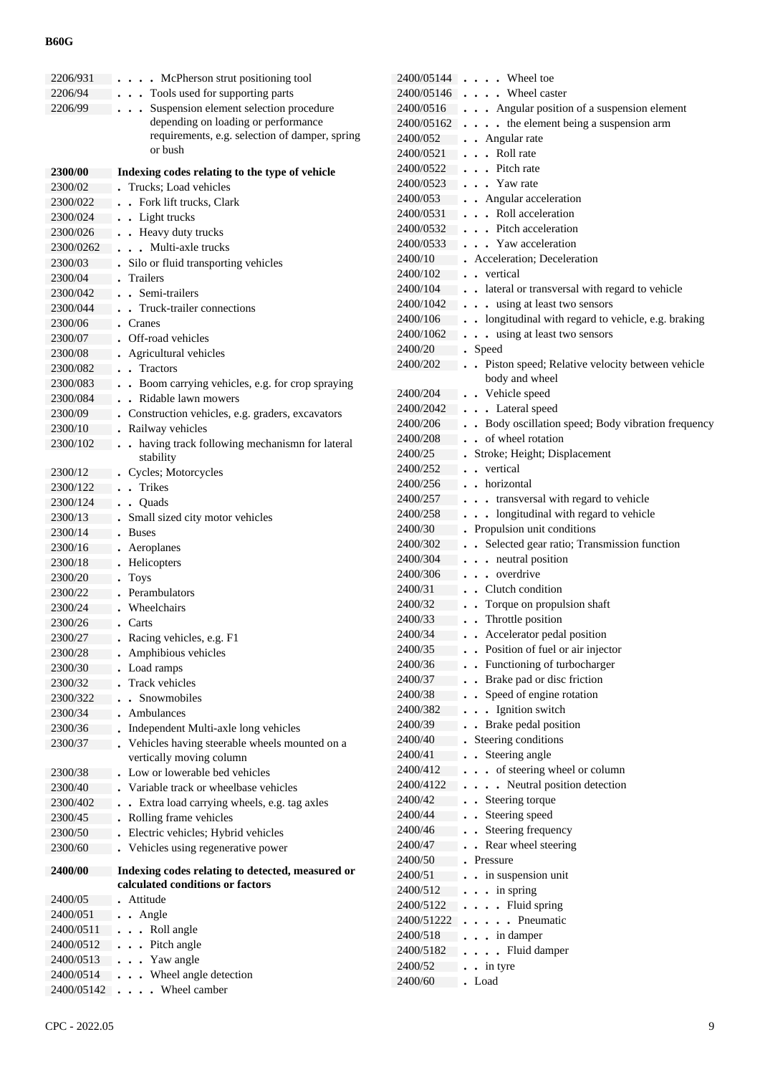| 2206/931       | • McPherson strut positioning tool                    |
|----------------|-------------------------------------------------------|
| 2206/94        | Tools used for supporting parts                       |
| 2206/99        | Suspension element selection procedure                |
|                | depending on loading or performance                   |
|                | requirements, e.g. selection of damper, spring        |
|                | or bush                                               |
| <b>2300/00</b> | Indexing codes relating to the type of vehicle        |
| 2300/02        | Trucks; Load vehicles                                 |
| 2300/022       | Fork lift trucks, Clark<br>$\ddot{\phantom{0}}$       |
| 2300/024       | Light trucks<br>$\ddot{\phantom{0}}$                  |
| 2300/026       | Heavy duty trucks<br>$\ddot{\phantom{0}}$             |
| 2300/0262      | Multi-axle trucks<br>$\overline{\phantom{a}}$         |
| 2300/03        | Silo or fluid transporting vehicles                   |
| 2300/04        | Trailers                                              |
| 2300/042       | Semi-trailers                                         |
| 2300/044       | Truck-trailer connections                             |
| 2300/06        | Cranes                                                |
| 2300/07        | Off-road vehicles                                     |
| 2300/08        | Agricultural vehicles                                 |
| 2300/082       | <b>Tractors</b>                                       |
| 2300/083       | Boom carrying vehicles, e.g. for crop spraying        |
| 2300/084       | Ridable lawn mowers                                   |
| 2300/09        | Construction vehicles, e.g. graders, excavators       |
| 2300/10        | Railway vehicles                                      |
| 2300/102       | having track following mechanismn for lateral         |
|                | stability                                             |
| 2300/12        | Cycles; Motorcycles                                   |
| 2300/122       | <b>Trikes</b><br>$\ddot{\phantom{0}}$                 |
| 2300/124       | Quads<br>$\ddot{\phantom{0}}$                         |
| 2300/13        | Small sized city motor vehicles                       |
| 2300/14        | <b>Buses</b>                                          |
| 2300/16        | Aeroplanes                                            |
| 2300/18        | Helicopters                                           |
| 2300/20        | <b>Toys</b>                                           |
| 2300/22        | Perambulators                                         |
| 2300/24        | Wheelchairs                                           |
| 2300/26        | Carts                                                 |
| 2300/27        | Racing vehicles, e.g. F1                              |
| 2300/28        | Amphibious vehicles                                   |
| 2300/30        | Load ramps                                            |
| 2300/32        | <b>Track vehicles</b>                                 |
| 2300/322       | Snowmobiles                                           |
| 2300/34        | Ambulances                                            |
| 2300/36        | Independent Multi-axle long vehicles                  |
| 2300/37        | Vehicles having steerable wheels mounted on a         |
|                | vertically moving column                              |
| 2300/38        | Low or lowerable bed vehicles                         |
| 2300/40        | Variable track or wheelbase vehicles                  |
| 2300/402       | Extra load carrying wheels, e.g. tag axles<br>$\cdot$ |
| 2300/45        | Rolling frame vehicles                                |
| 2300/50        | Electric vehicles; Hybrid vehicles                    |
| 2300/60        | Vehicles using regenerative power                     |
| 2400/00        | Indexing codes relating to detected, measured or      |
|                | calculated conditions or factors                      |
| 2400/05        | Attitude                                              |
| 2400/051       | Angle<br>$\ddot{\phantom{0}}$                         |
| 2400/0511      | Roll angle<br>$\ddot{\phantom{0}}$                    |
| 2400/0512      | Pitch angle<br>$\ddot{\phantom{0}}$                   |
| 2400/0513      | . Yaw angle                                           |
| 2400/0514      | . Wheel angle detection                               |
| 2400/05142     | Wheel camber<br>$\ddot{\phantom{0}}$                  |

| 2400/05144 | . Wheel toe                                                                        |
|------------|------------------------------------------------------------------------------------|
| 2400/05146 | . Wheel caster                                                                     |
|            |                                                                                    |
| 2400/0516  | Angular position of a suspension element                                           |
| 2400/05162 | the element being a suspension arm<br>$\ddot{\phantom{0}}$<br>$\ddot{\phantom{0}}$ |
| 2400/052   | • Angular rate                                                                     |
| 2400/0521  | . Roll rate                                                                        |
| 2400/0522  | Pitch rate                                                                         |
| 2400/0523  | • Yaw rate                                                                         |
| 2400/053   | • Angular acceleration                                                             |
| 2400/0531  | . Roll acceleration                                                                |
| 2400/0532  | . Pitch acceleration                                                               |
| 2400/0533  | . Yaw acceleration                                                                 |
| 2400/10    | Acceleration; Deceleration                                                         |
| 2400/102   | vertical                                                                           |
| 2400/104   | . lateral or transversal with regard to vehicle                                    |
| 2400/1042  | using at least two sensors<br>$\mathbf{r}$                                         |
| 2400/106   | . longitudinal with regard to vehicle, e.g. braking                                |
| 2400/1062  | . . using at least two sensors                                                     |
| 2400/20    | . Speed                                                                            |
| 2400/202   | Piston speed; Relative velocity between vehicle<br>$\ddot{\phantom{a}}$            |
|            | body and wheel                                                                     |
| 2400/204   | . Vehicle speed<br>$\ddot{\phantom{0}}$                                            |
| 2400/2042  | . Lateral speed                                                                    |
| 2400/206   | Body oscillation speed; Body vibration frequency<br>$\ddot{\phantom{0}}$           |
| 2400/208   | of wheel rotation<br>$\bullet$                                                     |
| 2400/25    | Stroke; Height; Displacement                                                       |
| 2400/252   | vertical<br>$\ddot{\phantom{a}}$                                                   |
| 2400/256   | . . horizontal                                                                     |
| 2400/257   | . transversal with regard to vehicle                                               |
| 2400/258   | . longitudinal with regard to vehicle                                              |
|            | $\bullet$                                                                          |
| 2400/30    | Propulsion unit conditions                                                         |
| 2400/302   | Selected gear ratio; Transmission function                                         |
| 2400/304   | neutral position                                                                   |
| 2400/306   | . . overdrive                                                                      |
| 2400/31    | Clutch condition                                                                   |
| 2400/32    | Torque on propulsion shaft                                                         |
| 2400/33    | Throttle position<br>$\ddot{\phantom{a}}$                                          |
| 2400/34    | Accelerator pedal position                                                         |
| 2400/35    | Position of fuel or air injector                                                   |
| 2400/36    | Functioning of turbocharger                                                        |
| 2400/37    | Brake pad or disc friction                                                         |
| 2400/38    | Speed of engine rotation                                                           |
| 2400/382   | Ignition switch<br>$\ddot{\phantom{0}}$                                            |
| 2400/39    | Brake pedal position                                                               |
| 2400/40    | Steering conditions                                                                |
| 2400/41    | Steering angle                                                                     |
| 2400/412   | of steering wheel or column<br>$\ddot{\phantom{0}}$                                |
| 2400/4122  | Neutral position detection                                                         |
| 2400/42    | Steering torque                                                                    |
| 2400/44    | Steering speed                                                                     |
| 2400/46    | Steering frequency                                                                 |
| 2400/47    | Rear wheel steering                                                                |
| 2400/50    | Pressure                                                                           |
| 2400/51    | in suspension unit                                                                 |
| 2400/512   | in spring<br>$\ddot{\phantom{0}}$                                                  |
| 2400/5122  | Fluid spring                                                                       |
| 2400/51222 | Pneumatic                                                                          |
| 2400/518   |                                                                                    |
|            | in damper                                                                          |
| 2400/5182  | Fluid damper                                                                       |
| 2400/52    | in tyre                                                                            |
| 2400/60    | Load                                                                               |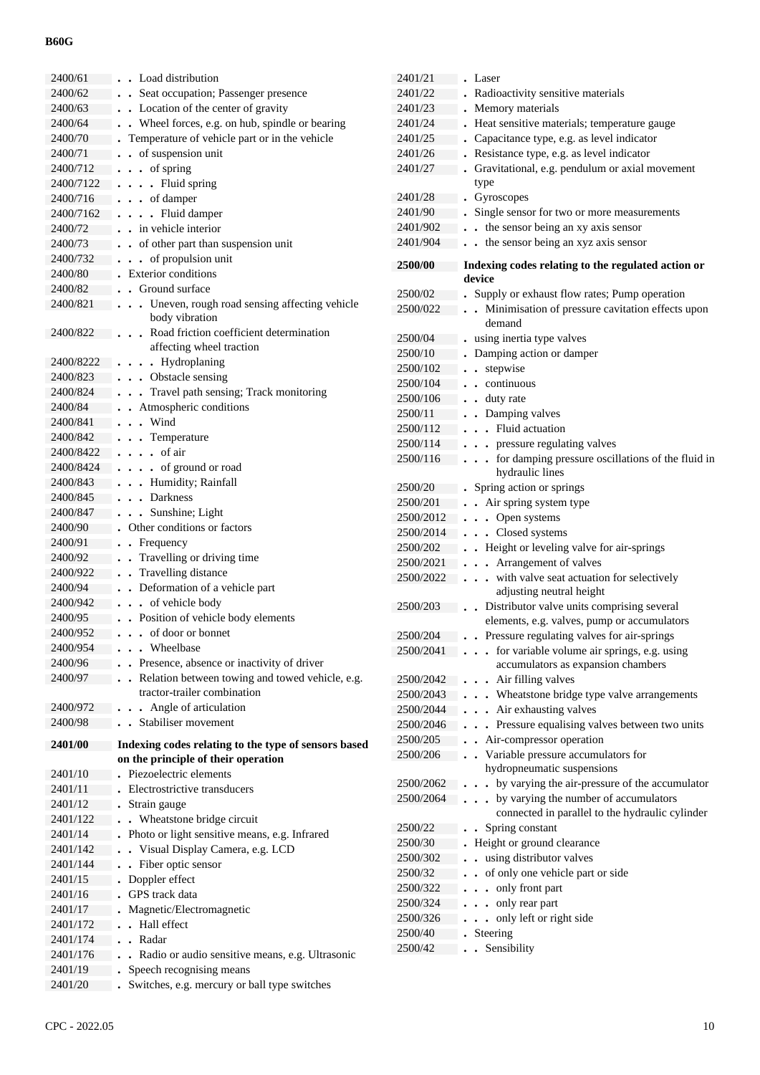| 2400/61   | • Load distribution                                  | 2401/21   | • Laser                                                              |
|-----------|------------------------------------------------------|-----------|----------------------------------------------------------------------|
| 2400/62   | • Seat occupation; Passenger presence                | 2401/22   | . Radioactivity sensitive materials                                  |
| 2400/63   | . . Location of the center of gravity                | 2401/23   | . Memory materials                                                   |
| 2400/64   | Wheel forces, e.g. on hub, spindle or bearing        | 2401/24   | . Heat sensitive materials; temperature gauge                        |
| 2400/70   | Temperature of vehicle part or in the vehicle        | 2401/25   | . Capacitance type, e.g. as level indicator                          |
| 2400/71   | • of suspension unit                                 | 2401/26   | . Resistance type, e.g. as level indicator                           |
| 2400/712  | $\cdot$ of spring                                    | 2401/27   | Gravitational, e.g. pendulum or axial movement                       |
| 2400/7122 | . Fluid spring                                       |           | type                                                                 |
| 2400/716  | . of damper                                          | 2401/28   | . Gyroscopes                                                         |
|           |                                                      | 2401/90   | Single sensor for two or more measurements                           |
| 2400/7162 | . Fluid damper                                       | 2401/902  |                                                                      |
| 2400/72   | . . in vehicle interior                              |           | . . the sensor being an xy axis sensor                               |
| 2400/73   | . . of other part than suspension unit               | 2401/904  | . . the sensor being an xyz axis sensor                              |
| 2400/732  | $\cdots$ of propulsion unit                          | 2500/00   | Indexing codes relating to the regulated action or                   |
| 2400/80   | Exterior conditions                                  |           | device                                                               |
| 2400/82   | . Ground surface                                     | 2500/02   | . Supply or exhaust flow rates; Pump operation                       |
| 2400/821  | . Uneven, rough road sensing affecting vehicle       | 2500/022  | . Minimisation of pressure cavitation effects upon                   |
|           | body vibration                                       |           | demand                                                               |
| 2400/822  | Road friction coefficient determination<br>$\cdots$  | 2500/04   | - using inertia type valves                                          |
|           | affecting wheel traction                             | 2500/10   | . Damping action or damper                                           |
| 2400/8222 | . Hydroplaning                                       | 2500/102  | . . stepwise                                                         |
| 2400/823  | . Obstacle sensing                                   | 2500/104  | continuous                                                           |
| 2400/824  | . Travel path sensing; Track monitoring              | 2500/106  | . . duty rate                                                        |
| 2400/84   | . Atmospheric conditions                             | 2500/11   | . . Damping valves                                                   |
| 2400/841  | . Wind                                               | 2500/112  | . Fluid actuation                                                    |
| 2400/842  | . Temperature                                        |           |                                                                      |
| 2400/8422 | $\cdots$ of air                                      | 2500/114  | . pressure regulating valves                                         |
| 2400/8424 | . of ground or road                                  | 2500/116  | for damping pressure oscillations of the fluid in                    |
| 2400/843  | . Humidity; Rainfall                                 |           | hydraulic lines                                                      |
| 2400/845  | . Darkness                                           | 2500/20   | • Spring action or springs                                           |
| 2400/847  | . Sunshine; Light                                    | 2500/201  | . Air spring system type                                             |
| 2400/90   | Other conditions or factors                          | 2500/2012 | . Open systems                                                       |
| 2400/91   | Frequency                                            | 2500/2014 | . Closed systems                                                     |
| 2400/92   | Travelling or driving time                           | 2500/202  | . Height or leveling valve for air-springs                           |
| 2400/922  | Travelling distance                                  | 2500/2021 | . Arrangement of valves                                              |
| 2400/94   | . . Deformation of a vehicle part                    | 2500/2022 | . with valve seat actuation for selectively                          |
| 2400/942  | . of vehicle body                                    |           | adjusting neutral height                                             |
| 2400/95   | . . Position of vehicle body elements                | 2500/203  | . Distributor valve units comprising several                         |
|           |                                                      |           | elements, e.g. valves, pump or accumulators                          |
| 2400/952  | . of door or bonnet                                  | 2500/204  | . Pressure regulating valves for air-springs                         |
| 2400/954  | . . Wheelbase                                        | 2500/2041 | for variable volume air springs, e.g. using                          |
| 2400/96   | Presence, absence or inactivity of driver            |           | accumulators as expansion chambers                                   |
| 2400/97   | Relation between towing and towed vehicle, e.g.      | 2500/2042 | . . Air filling valves                                               |
|           | tractor-trailer combination                          | 2500/2043 | Wheatstone bridge type valve arrangements<br>$\ddot{\phantom{0}}$    |
| 2400/972  | . Angle of articulation                              | 2500/2044 | . Air exhausting valves                                              |
| 2400/98   | Stabiliser movement                                  | 2500/2046 | Pressure equalising valves between two units<br>$\ddot{\phantom{a}}$ |
| 2401/00   | Indexing codes relating to the type of sensors based | 2500/205  | . Air-compressor operation                                           |
|           | on the principle of their operation                  | 2500/206  | Variable pressure accumulators for<br>$\ddot{\phantom{a}}$           |
| 2401/10   | Piezoelectric elements                               |           | hydropneumatic suspensions                                           |
| 2401/11   | Electrostrictive transducers                         | 2500/2062 | . by varying the air-pressure of the accumulator                     |
| 2401/12   | Strain gauge                                         | 2500/2064 | . by varying the number of accumulators                              |
| 2401/122  | . Wheatstone bridge circuit                          |           | connected in parallel to the hydraulic cylinder                      |
| 2401/14   | Photo or light sensitive means, e.g. Infrared        | 2500/22   | . . Spring constant                                                  |
| 2401/142  | . Visual Display Camera, e.g. LCD                    | 2500/30   | . Height or ground clearance                                         |
|           |                                                      | 2500/302  | . . using distributor valves                                         |
| 2401/144  | • Fiber optic sensor                                 | 2500/32   | . . of only one vehicle part or side                                 |
| 2401/15   | Doppler effect                                       | 2500/322  | . only front part                                                    |
| 2401/16   | GPS track data                                       | 2500/324  | . only rear part                                                     |
| 2401/17   | Magnetic/Electromagnetic                             | 2500/326  | . only left or right side                                            |
| 2401/172  | . Hall effect                                        | 2500/40   | . Steering                                                           |
| 2401/174  | . Radar                                              | 2500/42   | . . Sensibility                                                      |
| 2401/176  | Radio or audio sensitive means, e.g. Ultrasonic      |           |                                                                      |
| 2401/19   | Speech recognising means                             |           |                                                                      |
| 2401/20   | Switches, e.g. mercury or ball type switches         |           |                                                                      |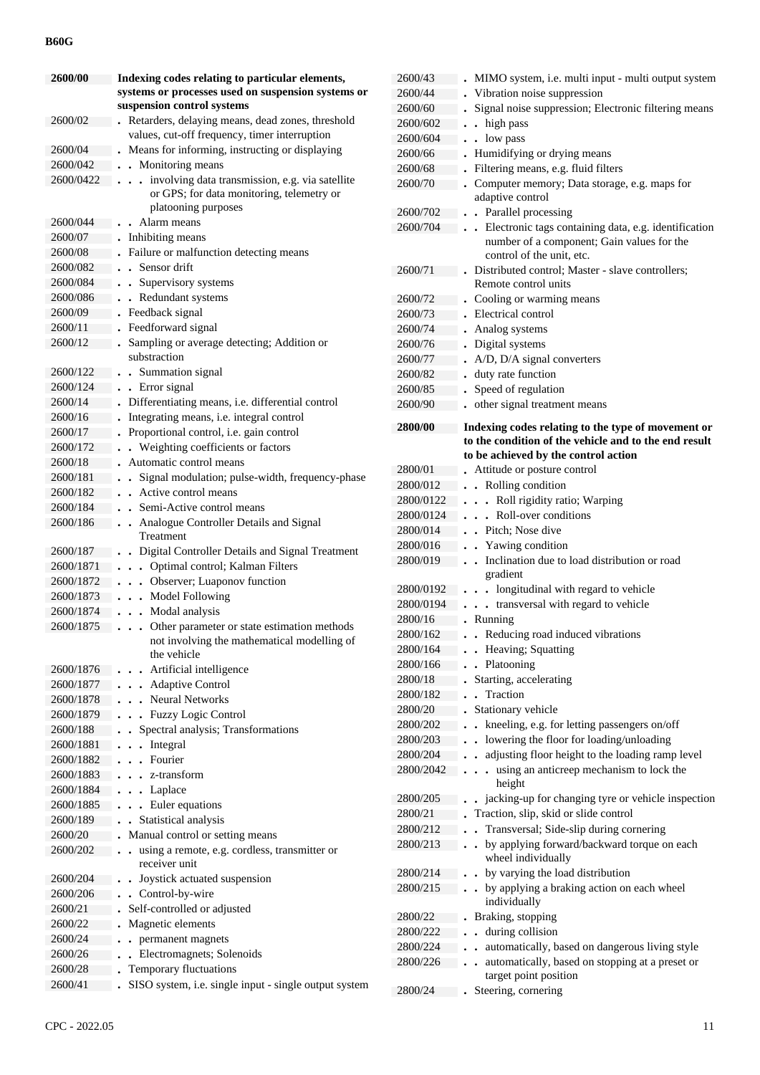| 2600/00   | Indexing codes relating to particular elements,                                    |  |
|-----------|------------------------------------------------------------------------------------|--|
|           | systems or processes used on suspension systems or                                 |  |
|           | suspension control systems                                                         |  |
| 2600/02   | Retarders, delaying means, dead zones, threshold                                   |  |
|           | values, cut-off frequency, timer interruption                                      |  |
| 2600/04   | Means for informing, instructing or displaying                                     |  |
| 2600/042  | Monitoring means                                                                   |  |
| 2600/0422 | involving data transmission, e.g. via satellite                                    |  |
|           | or GPS; for data monitoring, telemetry or                                          |  |
|           | platooning purposes                                                                |  |
| 2600/044  | Alarm means                                                                        |  |
| 2600/07   | Inhibiting means                                                                   |  |
| 2600/08   | Failure or malfunction detecting means                                             |  |
| 2600/082  | Sensor drift<br>$\ddot{\phantom{0}}$                                               |  |
| 2600/084  | Supervisory systems<br>$\ddot{\phantom{a}}$                                        |  |
| 2600/086  | Redundant systems<br>$\ddot{\phantom{0}}$                                          |  |
| 2600/09   | Feedback signal                                                                    |  |
| 2600/11   | Feedforward signal                                                                 |  |
| 2600/12   | Sampling or average detecting; Addition or                                         |  |
|           | substraction                                                                       |  |
| 2600/122  | Summation signal                                                                   |  |
| 2600/124  | Error signal                                                                       |  |
| 2600/14   | Differentiating means, i.e. differential control                                   |  |
| 2600/16   | Integrating means, i.e. integral control                                           |  |
| 2600/17   | Proportional control, i.e. gain control                                            |  |
| 2600/172  | Weighting coefficients or factors                                                  |  |
| 2600/18   | Automatic control means                                                            |  |
| 2600/181  | Signal modulation; pulse-width, frequency-phase                                    |  |
| 2600/182  | Active control means                                                               |  |
| 2600/184  | Semi-Active control means<br>$\ddot{\phantom{0}}$                                  |  |
| 2600/186  | Analogue Controller Details and Signal<br>$\ddot{\phantom{a}}$<br>Treatment        |  |
| 2600/187  |                                                                                    |  |
| 2600/1871 | Digital Controller Details and Signal Treatment<br>Optimal control; Kalman Filters |  |
| 2600/1872 | $\ddot{\phantom{0}}$<br>Observer; Luaponov function                                |  |
| 2600/1873 | $\ddot{\phantom{0}}$<br><b>Model Following</b><br>$\ddot{\phantom{a}}$             |  |
| 2600/1874 | Modal analysis<br>$\ddot{\phantom{0}}$                                             |  |
| 2600/1875 | Other parameter or state estimation methods<br>$\ddot{\phantom{0}}$                |  |
|           | not involving the mathematical modelling of                                        |  |
|           | the vehicle                                                                        |  |
| 2600/1876 | Artificial intelligence                                                            |  |
| 2600/1877 | <b>Adaptive Control</b>                                                            |  |
| 2600/1878 | <b>Neural Networks</b><br>$\overline{a}$                                           |  |
| 2600/1879 | <b>Fuzzy Logic Control</b><br>$\ddot{\phantom{a}}$                                 |  |
| 2600/188  | Spectral analysis; Transformations                                                 |  |
| 2600/1881 | Integral<br>$\ddot{\phantom{0}}$                                                   |  |
| 2600/1882 | Fourier<br>$\ddot{\phantom{0}}$                                                    |  |
| 2600/1883 | z-transform                                                                        |  |
| 2600/1884 | Laplace<br>$\ddot{\phantom{0}}$                                                    |  |
| 2600/1885 | Euler equations<br>$\ddot{\phantom{0}}$                                            |  |
| 2600/189  | Statistical analysis<br>$\ddot{\phantom{0}}$                                       |  |
| 2600/20   | Manual control or setting means                                                    |  |
| 2600/202  | using a remote, e.g. cordless, transmitter or<br>$\ddot{\phantom{0}}$              |  |
|           | receiver unit                                                                      |  |
| 2600/204  | Joystick actuated suspension                                                       |  |
| 2600/206  | • Control-by-wire                                                                  |  |
| 2600/21   | Self-controlled or adjusted                                                        |  |
| 2600/22   | Magnetic elements                                                                  |  |
| 2600/24   | permanent magnets                                                                  |  |
| 2600/26   | Electromagnets; Solenoids                                                          |  |
| 2600/28   | Temporary fluctuations                                                             |  |
| 2600/41   | SISO system, i.e. single input - single output system                              |  |

| 2600/43        | MIMO system, i.e. multi input - multi output system                      |
|----------------|--------------------------------------------------------------------------|
| 2600/44        | Vibration noise suppression                                              |
| 2600/60        | Signal noise suppression; Electronic filtering means                     |
| 2600/602       | high pass                                                                |
| 2600/604       | low pass                                                                 |
| 2600/66        | Humidifying or drying means                                              |
| 2600/68        | Filtering means, e.g. fluid filters                                      |
| 2600/70        | Computer memory; Data storage, e.g. maps for                             |
|                | adaptive control                                                         |
| 2600/702       | . Parallel processing                                                    |
| 2600/704       | Electronic tags containing data, e.g. identification                     |
|                | number of a component; Gain values for the                               |
|                | control of the unit, etc.                                                |
| 2600/71        | Distributed control; Master - slave controllers;                         |
|                | Remote control units                                                     |
| 2600/72        | Cooling or warming means                                                 |
| 2600/73        | Electrical control                                                       |
| 2600/74        | Analog systems                                                           |
| 2600/76        | Digital systems                                                          |
| 2600/77        | A/D, D/A signal converters                                               |
| 2600/82        | duty rate function                                                       |
| 2600/85        | Speed of regulation                                                      |
| 2600/90        | other signal treatment means                                             |
| <b>2800/00</b> | Indexing codes relating to the type of movement or                       |
|                | to the condition of the vehicle and to the end result                    |
|                | to be achieved by the control action                                     |
| 2800/01        | Attitude or posture control                                              |
| 2800/012       | Rolling condition<br>$\ddot{\phantom{a}}$                                |
| 2800/0122      | Roll rigidity ratio; Warping<br>$\ddot{\phantom{0}}$                     |
| 2800/0124      | . . Roll-over conditions                                                 |
| 2800/014       | . Pitch: Nose dive                                                       |
|                |                                                                          |
| 2800/016       | Yawing condition<br>$\ddot{\phantom{0}}$                                 |
| 2800/019       | Inclination due to load distribution or road                             |
|                | gradient                                                                 |
| 2800/0192      | longitudinal with regard to vehicle                                      |
| 2800/0194      | transversal with regard to vehicle                                       |
| 2800/16        | Running                                                                  |
| 2800/162       | Reducing road induced vibrations                                         |
| 2800/164       | Heaving; Squatting                                                       |
| 2800/166       | Platooning                                                               |
| 2800/18        | Starting, accelerating                                                   |
| 2800/182       | Traction                                                                 |
| 2800/20        | Stationary vehicle                                                       |
| 2800/202       | kneeling, e.g. for letting passengers on/off                             |
| 2800/203       | lowering the floor for loading/unloading<br>$\ddot{\phantom{a}}$         |
| 2800/204       | adjusting floor height to the loading ramp level<br>$\ddot{\phantom{0}}$ |
| 2800/2042      | using an anticreep mechanism to lock the<br>$\overline{a}$               |
|                | height                                                                   |
| 2800/205       | jacking-up for changing tyre or vehicle inspection                       |
| 2800/21        | Traction, slip, skid or slide control                                    |
| 2800/212       | Transversal; Side-slip during cornering                                  |
| 2800/213       | by applying forward/backward torque on each<br>$\ddot{\phantom{0}}$      |
|                | wheel individually                                                       |
| 2800/214       | by varying the load distribution                                         |
| 2800/215       | by applying a braking action on each wheel<br>$\ddot{\phantom{0}}$       |
| 2800/22        | individually                                                             |
|                | Braking, stopping<br>$\ddot{\phantom{0}}$                                |
| 2800/222       | during collision                                                         |
| 2800/224       | automatically, based on dangerous living style<br>$\ddot{\phantom{0}}$   |
| 2800/226       | automatically, based on stopping at a preset or<br>target point position |